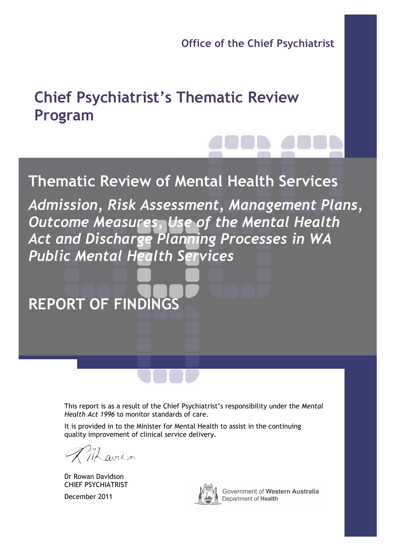Office of the Chief Psychiatrist

# Chief Psychiatrist's Thematic Review Program

# Thematic Review of Mental Health Services

Admission, Risk Assessment, Management Plans, Outcome Measures, Use of the Mental Health Act and Discharge Planning Processes in WA Public Mental Health Services

REPORT OF FINDINGS

This report is as a result of the Chief Psychiatrist's responsibility under the Mental Health Act 1996 to monitor standards of care.

It is provided in to the Minister for Mental Health to assist in the continuing quality improvement of clinical service delivery.

avidson

Dr Rowan Davidson CHIEF PSYCHIATRIST

December 2011



Government of Western Australia Department of Health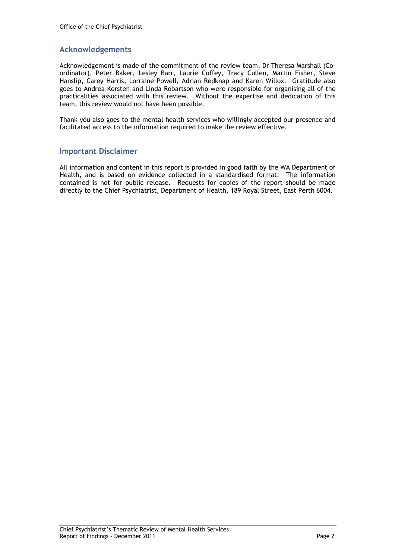### Acknowledgements

Acknowledgement is made of the commitment of the review team, Dr Theresa Marshall (Coordinator), Peter Baker, Lesley Barr, Laurie Coffey, Tracy Cullen, Martin Fisher, Steve Hanslip, Carey Harris, Lorraine Powell, Adrian Redknap and Karen Willox. Gratitude also goes to Andrea Kersten and Linda Robartson who were responsible for organising all of the practicalities associated with this review. Without the expertise and dedication of this team, this review would not have been possible.

Thank you also goes to the mental health services who willingly accepted our presence and facilitated access to the information required to make the review effective.

#### Important Disclaimer

All information and content in this report is provided in good faith by the WA Department of Health, and is based on evidence collected in a standardised format. The information contained is not for public release. Requests for copies of the report should be made directly to the Chief Psychiatrist, Department of Health, 189 Royal Street, East Perth 6004.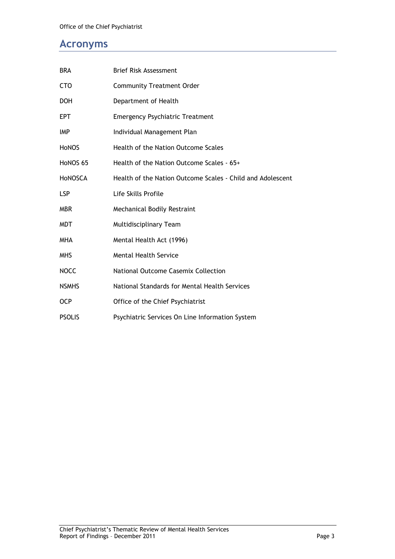### Acronyms

| <b>BRA</b>     | Brief Risk Assessment                                      |
|----------------|------------------------------------------------------------|
| <b>CTO</b>     | <b>Community Treatment Order</b>                           |
| <b>DOH</b>     | Department of Health                                       |
| <b>EPT</b>     | <b>Emergency Psychiatric Treatment</b>                     |
| IMP            | Individual Management Plan                                 |
| <b>HONOS</b>   | Health of the Nation Outcome Scales                        |
| HoNOS 65       | Health of the Nation Outcome Scales - 65+                  |
| <b>HONOSCA</b> | Health of the Nation Outcome Scales - Child and Adolescent |
| <b>LSP</b>     | Life Skills Profile                                        |
| <b>MBR</b>     | Mechanical Bodily Restraint                                |
| MDT            | Multidisciplinary Team                                     |
| <b>MHA</b>     | Mental Health Act (1996)                                   |
| <b>MHS</b>     | <b>Mental Health Service</b>                               |
| <b>NOCC</b>    | National Outcome Casemix Collection                        |
| <b>NSMHS</b>   | National Standards for Mental Health Services              |
| <b>OCP</b>     | Office of the Chief Psychiatrist                           |
| <b>PSOLIS</b>  | Psychiatric Services On Line Information System            |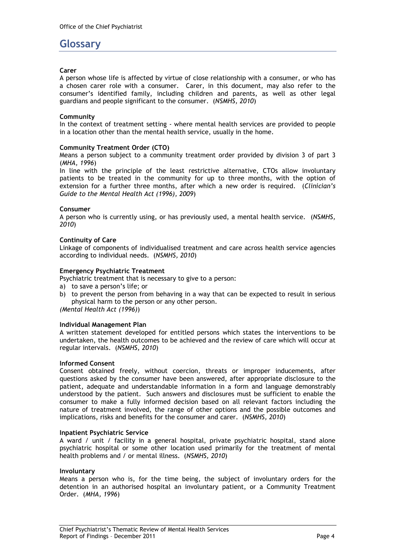### Glossary

#### Carer

A person whose life is affected by virtue of close relationship with a consumer, or who has a chosen carer role with a consumer. Carer, in this document, may also refer to the consumer's identified family, including children and parents, as well as other legal guardians and people significant to the consumer. (NSMHS, 2010)

#### **Community**

In the context of treatment setting - where mental health services are provided to people in a location other than the mental health service, usually in the home.

#### Community Treatment Order (CTO)

Means a person subject to a community treatment order provided by division 3 of part 3 (MHA, 1996)

In line with the principle of the least restrictive alternative, CTOs allow involuntary patients to be treated in the community for up to three months, with the option of extension for a further three months, after which a new order is required. (Clinician's Guide to the Mental Health Act (1996), 2009)

#### Consumer

A person who is currently using, or has previously used, a mental health service. (NSMHS, 2010)

#### Continuity of Care

Linkage of components of individualised treatment and care across health service agencies according to individual needs. (NSMHS, 2010)

#### Emergency Psychiatric Treatment

Psychiatric treatment that is necessary to give to a person:

- a) to save a person's life; or
- b) to prevent the person from behaving in a way that can be expected to result in serious physical harm to the person or any other person.

(Mental Health Act (1996))

#### Individual Management Plan

A written statement developed for entitled persons which states the interventions to be undertaken, the health outcomes to be achieved and the review of care which will occur at regular intervals. (NSMHS, 2010)

#### Informed Consent

Consent obtained freely, without coercion, threats or improper inducements, after questions asked by the consumer have been answered, after appropriate disclosure to the patient, adequate and understandable information in a form and language demonstrably understood by the patient. Such answers and disclosures must be sufficient to enable the consumer to make a fully informed decision based on all relevant factors including the nature of treatment involved, the range of other options and the possible outcomes and implications, risks and benefits for the consumer and carer. (NSMHS, 2010)

#### Inpatient Psychiatric Service

A ward / unit / facility in a general hospital, private psychiatric hospital, stand alone psychiatric hospital or some other location used primarily for the treatment of mental health problems and / or mental illness. (NSMHS, 2010)

#### Involuntary

Means a person who is, for the time being, the subject of involuntary orders for the detention in an authorised hospital an involuntary patient, or a Community Treatment Order. (MHA, 1996)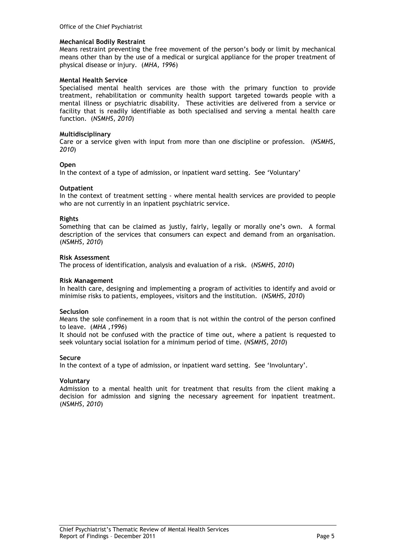#### Mechanical Bodily Restraint

Means restraint preventing the free movement of the person's body or limit by mechanical means other than by the use of a medical or surgical appliance for the proper treatment of physical disease or injury. (MHA, 1996)

#### Mental Health Service

Specialised mental health services are those with the primary function to provide treatment, rehabilitation or community health support targeted towards people with a mental illness or psychiatric disability. These activities are delivered from a service or facility that is readily identifiable as both specialised and serving a mental health care function. (NSMHS, 2010)

#### Multidisciplinary

Care or a service given with input from more than one discipline or profession. (NSMHS, 2010)

#### Open

In the context of a type of admission, or inpatient ward setting. See 'Voluntary'

#### **Outpatient**

In the context of treatment setting - where mental health services are provided to people who are not currently in an inpatient psychiatric service.

#### Rights

Something that can be claimed as justly, fairly, legally or morally one's own. A formal description of the services that consumers can expect and demand from an organisation. (NSMHS, 2010)

#### Risk Assessment

The process of identification, analysis and evaluation of a risk. (NSMHS, 2010)

#### Risk Management

In health care, designing and implementing a program of activities to identify and avoid or minimise risks to patients, employees, visitors and the institution. (NSMHS, 2010)

#### Seclusion

Means the sole confinement in a room that is not within the control of the person confined to leave. (MHA ,1996)

It should not be confused with the practice of time out, where a patient is requested to seek voluntary social isolation for a minimum period of time. (NSMHS, 2010)

#### Secure

In the context of a type of admission, or inpatient ward setting. See 'Involuntary'.

#### Voluntary

Admission to a mental health unit for treatment that results from the client making a decision for admission and signing the necessary agreement for inpatient treatment. (NSMHS, 2010)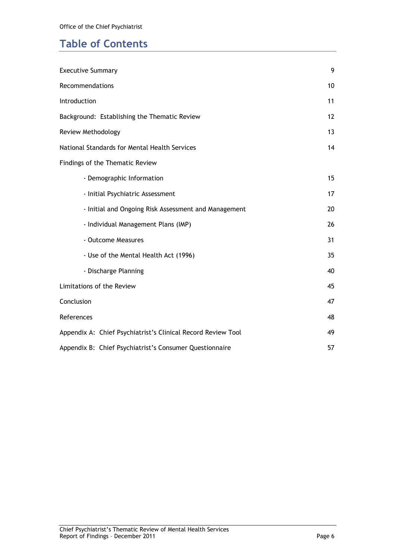## Table of Contents

| <b>Executive Summary</b>                                     | 9  |
|--------------------------------------------------------------|----|
| Recommendations                                              | 10 |
| Introduction                                                 | 11 |
| Background: Establishing the Thematic Review                 | 12 |
| Review Methodology                                           | 13 |
| National Standards for Mental Health Services                | 14 |
| Findings of the Thematic Review                              |    |
| - Demographic Information                                    | 15 |
| - Initial Psychiatric Assessment                             | 17 |
| - Initial and Ongoing Risk Assessment and Management         | 20 |
| - Individual Management Plans (IMP)                          | 26 |
| - Outcome Measures                                           | 31 |
| - Use of the Mental Health Act (1996)                        | 35 |
| - Discharge Planning                                         | 40 |
| Limitations of the Review                                    | 45 |
| Conclusion                                                   | 47 |
| References                                                   | 48 |
| Appendix A: Chief Psychiatrist's Clinical Record Review Tool | 49 |
| Appendix B: Chief Psychiatrist's Consumer Questionnaire      | 57 |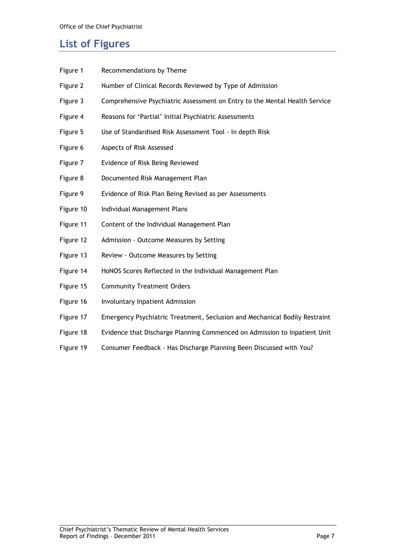### List of Figures

| Figure 1  | Recommendations by Theme                                                   |
|-----------|----------------------------------------------------------------------------|
| Figure 2  | Number of Clinical Records Reviewed by Type of Admission                   |
| Figure 3  | Comprehensive Psychiatric Assessment on Entry to the Mental Health Service |
| Figure 4  | Reasons for 'Partial' Initial Psychiatric Assessments                      |
| Figure 5  | Use of Standardised Risk Assessment Tool - In depth Risk                   |
| Figure 6  | Aspects of Risk Assessed                                                   |
| Figure 7  | Evidence of Risk Being Reviewed                                            |
| Figure 8  | Documented Risk Management Plan                                            |
| Figure 9  | Evidence of Risk Plan Being Revised as per Assessments                     |
| Figure 10 | Individual Management Plans                                                |
| Figure 11 | Content of the Individual Management Plan                                  |
| Figure 12 | Admission - Outcome Measures by Setting                                    |
| Figure 13 | Review - Outcome Measures by Setting                                       |
| Figure 14 | HoNOS Scores Reflected in the Individual Management Plan                   |
| Figure 15 | <b>Community Treatment Orders</b>                                          |
| Figure 16 | Involuntary Inpatient Admission                                            |
| Figure 17 | Emergency Psychiatric Treatment, Seclusion and Mechanical Bodily Restraint |
| Figure 18 | Evidence that Discharge Planning Commenced on Admission to Inpatient Unit  |
| Figure 19 | Consumer Feedback - Has Discharge Planning Been Discussed with You?        |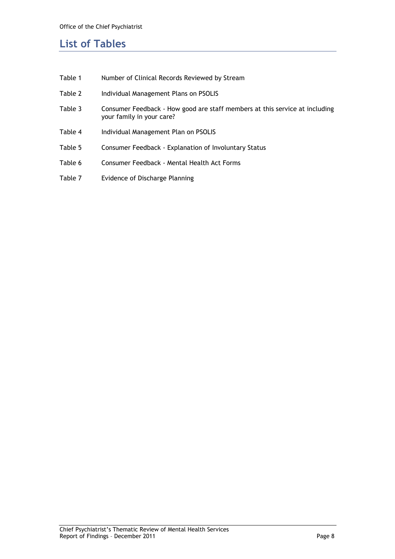### List of Tables

| Table 1 | Number of Clinical Records Reviewed by Stream                                                            |
|---------|----------------------------------------------------------------------------------------------------------|
| Table 2 | Individual Management Plans on PSOLIS                                                                    |
| Table 3 | Consumer Feedback - How good are staff members at this service at including<br>your family in your care? |
| Table 4 | Individual Management Plan on PSOLIS                                                                     |
| Table 5 | Consumer Feedback - Explanation of Involuntary Status                                                    |
| Table 6 | Consumer Feedback - Mental Health Act Forms                                                              |
| Table 7 | Evidence of Discharge Planning                                                                           |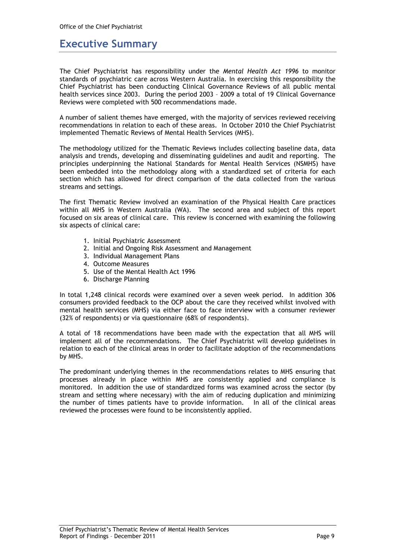### Executive Summary

The Chief Psychiatrist has responsibility under the Mental Health Act 1996 to monitor standards of psychiatric care across Western Australia. In exercising this responsibility the Chief Psychiatrist has been conducting Clinical Governance Reviews of all public mental health services since 2003. During the period 2003 – 2009 a total of 19 Clinical Governance Reviews were completed with 500 recommendations made.

A number of salient themes have emerged, with the majority of services reviewed receiving recommendations in relation to each of these areas. In October 2010 the Chief Psychiatrist implemented Thematic Reviews of Mental Health Services (MHS).

The methodology utilized for the Thematic Reviews includes collecting baseline data, data analysis and trends, developing and disseminating guidelines and audit and reporting. The principles underpinning the National Standards for Mental Health Services (NSMHS) have been embedded into the methodology along with a standardized set of criteria for each section which has allowed for direct comparison of the data collected from the various streams and settings.

The first Thematic Review involved an examination of the Physical Health Care practices within all MHS in Western Australia (WA). The second area and subject of this report focused on six areas of clinical care. This review is concerned with examining the following six aspects of clinical care:

- 1. Initial Psychiatric Assessment
- 2. Initial and Ongoing Risk Assessment and Management
- 3. Individual Management Plans
- 4. Outcome Measures
- 5. Use of the Mental Health Act 1996
- 6. Discharge Planning

In total 1,248 clinical records were examined over a seven week period. In addition 306 consumers provided feedback to the OCP about the care they received whilst involved with mental health services (MHS) via either face to face interview with a consumer reviewer (32% of respondents) or via questionnaire (68% of respondents).

A total of 18 recommendations have been made with the expectation that all MHS will implement all of the recommendations. The Chief Psychiatrist will develop guidelines in relation to each of the clinical areas in order to facilitate adoption of the recommendations by MHS.

The predominant underlying themes in the recommendations relates to MHS ensuring that processes already in place within MHS are consistently applied and compliance is monitored. In addition the use of standardized forms was examined across the sector (by stream and setting where necessary) with the aim of reducing duplication and minimizing the number of times patients have to provide information. In all of the clinical areas reviewed the processes were found to be inconsistently applied.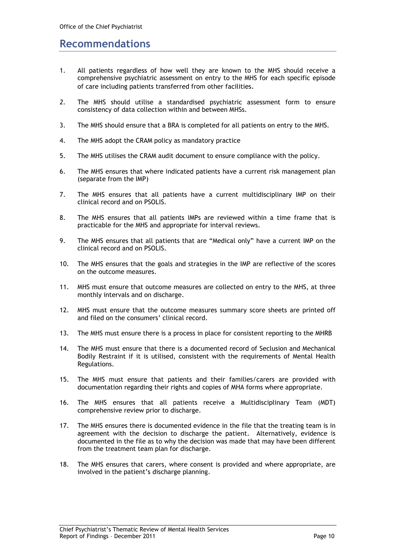### Recommendations

- 1. All patients regardless of how well they are known to the MHS should receive a comprehensive psychiatric assessment on entry to the MHS for each specific episode of care including patients transferred from other facilities.
- 2. The MHS should utilise a standardised psychiatric assessment form to ensure consistency of data collection within and between MHSs.
- 3. The MHS should ensure that a BRA is completed for all patients on entry to the MHS.
- 4. The MHS adopt the CRAM policy as mandatory practice
- 5. The MHS utilises the CRAM audit document to ensure compliance with the policy.
- 6. The MHS ensures that where indicated patients have a current risk management plan (separate from the IMP)
- 7. The MHS ensures that all patients have a current multidisciplinary IMP on their clinical record and on PSOLIS.
- 8. The MHS ensures that all patients IMPs are reviewed within a time frame that is practicable for the MHS and appropriate for interval reviews.
- 9. The MHS ensures that all patients that are "Medical only" have a current IMP on the clinical record and on PSOLIS.
- 10. The MHS ensures that the goals and strategies in the IMP are reflective of the scores on the outcome measures.
- 11. MHS must ensure that outcome measures are collected on entry to the MHS, at three monthly intervals and on discharge.
- 12. MHS must ensure that the outcome measures summary score sheets are printed off and filed on the consumers' clinical record.
- 13. The MHS must ensure there is a process in place for consistent reporting to the MHRB
- 14. The MHS must ensure that there is a documented record of Seclusion and Mechanical Bodily Restraint if it is utilised, consistent with the requirements of Mental Health Regulations.
- 15. The MHS must ensure that patients and their families/carers are provided with documentation regarding their rights and copies of MHA forms where appropriate.
- 16. The MHS ensures that all patients receive a Multidisciplinary Team (MDT) comprehensive review prior to discharge.
- 17. The MHS ensures there is documented evidence in the file that the treating team is in agreement with the decision to discharge the patient. Alternatively, evidence is documented in the file as to why the decision was made that may have been different from the treatment team plan for discharge.
- 18. The MHS ensures that carers, where consent is provided and where appropriate, are involved in the patient's discharge planning.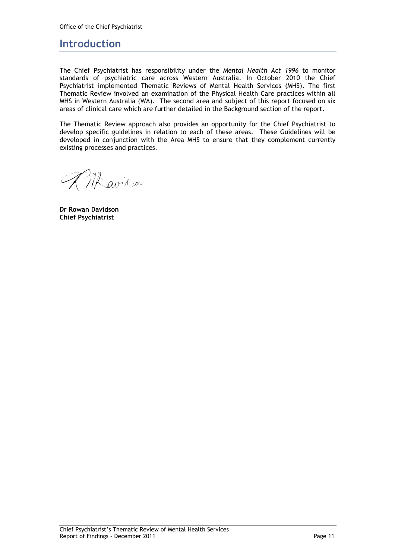### Introduction

The Chief Psychiatrist has responsibility under the Mental Health Act 1996 to monitor standards of psychiatric care across Western Australia. In October 2010 the Chief Psychiatrist implemented Thematic Reviews of Mental Health Services (MHS). The first Thematic Review involved an examination of the Physical Health Care practices within all MHS in Western Australia (WA). The second area and subject of this report focused on six areas of clinical care which are further detailed in the Background section of the report.

The Thematic Review approach also provides an opportunity for the Chief Psychiatrist to develop specific guidelines in relation to each of these areas. These Guidelines will be developed in conjunction with the Area MHS to ensure that they complement currently existing processes and practices.

AM avid son

Dr Rowan Davidson Chief Psychiatrist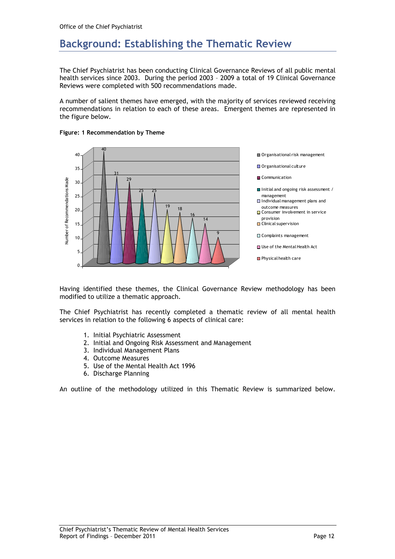### Background: Establishing the Thematic Review

The Chief Psychiatrist has been conducting Clinical Governance Reviews of all public mental health services since 2003. During the period 2003 – 2009 a total of 19 Clinical Governance Reviews were completed with 500 recommendations made.

A number of salient themes have emerged, with the majority of services reviewed receiving recommendations in relation to each of these areas. Emergent themes are represented in the figure below.



#### Figure: 1 Recommendation by Theme

Having identified these themes, the Clinical Governance Review methodology has been modified to utilize a thematic approach.

The Chief Psychiatrist has recently completed a thematic review of all mental health services in relation to the following 6 aspects of clinical care:

- 1. Initial Psychiatric Assessment
- 2. Initial and Ongoing Risk Assessment and Management
- 3. Individual Management Plans
- 4. Outcome Measures
- 5. Use of the Mental Health Act 1996
- 6. Discharge Planning

An outline of the methodology utilized in this Thematic Review is summarized below.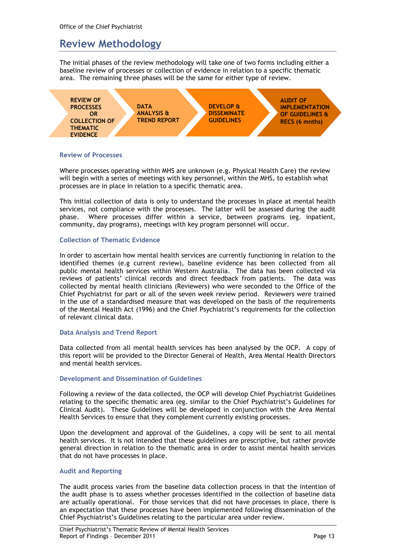### Review Methodology

The initial phases of the review methodology will take one of two forms including either a baseline review of processes or collection of evidence in relation to a specific thematic area. The remaining three phases will be the same for either type of review.



#### Review of Processes

Where processes operating within MHS are unknown (e.g. Physical Health Care) the review will begin with a series of meetings with key personnel, within the MHS, to establish what processes are in place in relation to a specific thematic area.

This initial collection of data is only to understand the processes in place at mental health services, not compliance with the processes. The latter will be assessed during the audit phase. Where processes differ within a service, between programs (eg. inpatient, community, day programs), meetings with key program personnel will occur.

#### Collection of Thematic Evidence

In order to ascertain how mental health services are currently functioning in relation to the identified themes (e.g current review), baseline evidence has been collected from all public mental health services within Western Australia. The data has been collected via reviews of patients' clinical records and direct feedback from patients. The data was collected by mental health clinicians (Reviewers) who were seconded to the Office of the Chief Psychiatrist for part or all of the seven week review period. Reviewers were trained in the use of a standardised measure that was developed on the basis of the requirements of the Mental Health Act (1996) and the Chief Psychiatrist's requirements for the collection of relevant clinical data.

#### Data Analysis and Trend Report

Data collected from all mental health services has been analysed by the OCP. A copy of this report will be provided to the Director General of Health, Area Mental Health Directors and mental health services.

#### Development and Dissemination of Guidelines

Following a review of the data collected, the OCP will develop Chief Psychiatrist Guidelines relating to the specific thematic area (eg. similar to the Chief Psychiatrist's Guidelines for Clinical Audit). These Guidelines will be developed in conjunction with the Area Mental Health Services to ensure that they complement currently existing processes.

Upon the development and approval of the Guidelines, a copy will be sent to all mental health services. It is not intended that these guidelines are prescriptive, but rather provide general direction in relation to the thematic area in order to assist mental health services that do not have processes in place.

#### Audit and Reporting

The audit process varies from the baseline data collection process in that the intention of the audit phase is to assess whether processes identified in the collection of baseline data are actually operational. For those services that did not have processes in place, there is an expectation that these processes have been implemented following dissemination of the Chief Psychiatrist's Guidelines relating to the particular area under review.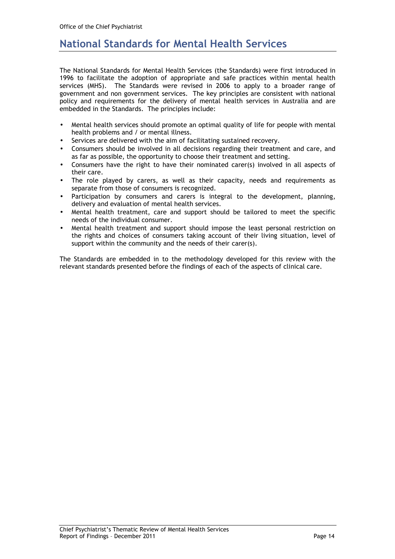### National Standards for Mental Health Services

The National Standards for Mental Health Services (the Standards) were first introduced in 1996 to facilitate the adoption of appropriate and safe practices within mental health services (MHS). The Standards were revised in 2006 to apply to a broader range of government and non government services. The key principles are consistent with national policy and requirements for the delivery of mental health services in Australia and are embedded in the Standards. The principles include:

- Mental health services should promote an optimal quality of life for people with mental health problems and / or mental illness.
- Services are delivered with the aim of facilitating sustained recovery.
- Consumers should be involved in all decisions regarding their treatment and care, and as far as possible, the opportunity to choose their treatment and setting.
- Consumers have the right to have their nominated carer(s) involved in all aspects of their care.
- The role played by carers, as well as their capacity, needs and requirements as separate from those of consumers is recognized.
- Participation by consumers and carers is integral to the development, planning, delivery and evaluation of mental health services.
- Mental health treatment, care and support should be tailored to meet the specific needs of the individual consumer.
- Mental health treatment and support should impose the least personal restriction on the rights and choices of consumers taking account of their living situation, level of support within the community and the needs of their carer(s).

The Standards are embedded in to the methodology developed for this review with the relevant standards presented before the findings of each of the aspects of clinical care.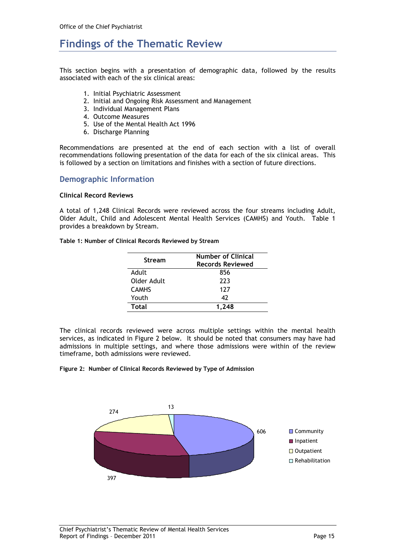### Findings of the Thematic Review

This section begins with a presentation of demographic data, followed by the results associated with each of the six clinical areas:

- 1. Initial Psychiatric Assessment
- 2. Initial and Ongoing Risk Assessment and Management
- 3. Individual Management Plans
- 4. Outcome Measures
- 5. Use of the Mental Health Act 1996
- 6. Discharge Planning

Recommendations are presented at the end of each section with a list of overall recommendations following presentation of the data for each of the six clinical areas. This is followed by a section on limitations and finishes with a section of future directions.

#### Demographic Information

#### Clinical Record Reviews

A total of 1,248 Clinical Records were reviewed across the four streams including Adult, Older Adult, Child and Adolescent Mental Health Services (CAMHS) and Youth. Table 1 provides a breakdown by Stream.

Table 1: Number of Clinical Records Reviewed by Stream

| <b>Stream</b> | <b>Number of Clinical</b><br><b>Records Reviewed</b> |
|---------------|------------------------------------------------------|
| Adult         | 856                                                  |
| Older Adult   | 223                                                  |
| <b>CAMHS</b>  | 127                                                  |
| Youth         | 47                                                   |
| Total         | 1.248                                                |

The clinical records reviewed were across multiple settings within the mental health services, as indicated in Figure 2 below. It should be noted that consumers may have had admissions in multiple settings, and where those admissions were within of the review timeframe, both admissions were reviewed.

Figure 2: Number of Clinical Records Reviewed by Type of Admission

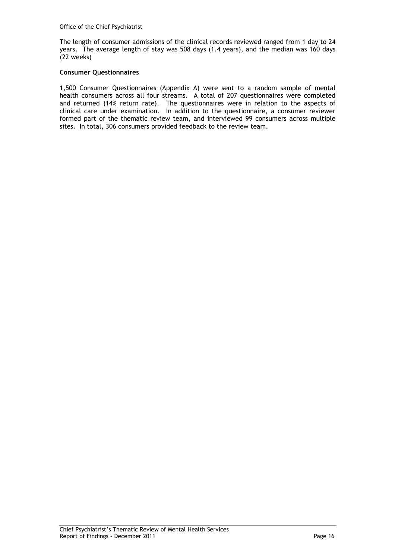The length of consumer admissions of the clinical records reviewed ranged from 1 day to 24 years. The average length of stay was 508 days (1.4 years), and the median was 160 days (22 weeks)

#### Consumer Questionnaires

1,500 Consumer Questionnaires (Appendix A) were sent to a random sample of mental health consumers across all four streams. A total of 207 questionnaires were completed and returned (14% return rate). The questionnaires were in relation to the aspects of clinical care under examination. In addition to the questionnaire, a consumer reviewer formed part of the thematic review team, and interviewed 99 consumers across multiple sites. In total, 306 consumers provided feedback to the review team.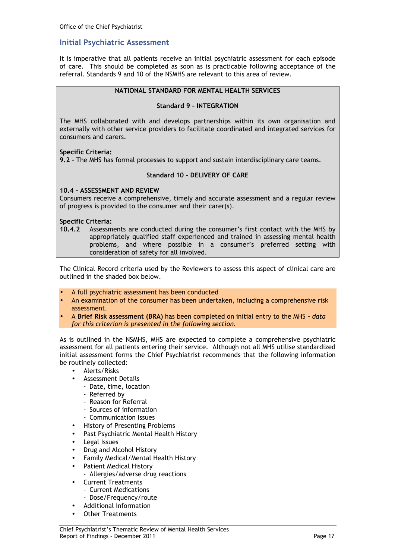#### Initial Psychiatric Assessment

It is imperative that all patients receive an initial psychiatric assessment for each episode of care. This should be completed as soon as is practicable following acceptance of the referral. Standards 9 and 10 of the NSMHS are relevant to this area of review.

#### NATIONAL STANDARD FOR MENTAL HEALTH SERVICES

#### Standard 9 – INTEGRATION

The MHS collaborated with and develops partnerships within its own organisation and externally with other service providers to facilitate coordinated and integrated services for consumers and carers.

#### Specific Criteria:

9.2 - The MHS has formal processes to support and sustain interdisciplinary care teams.

#### Standard 10 – DELIVERY OF CARE

#### 10.4 - ASSESSMENT AND REVIEW

Consumers receive a comprehensive, timely and accurate assessment and a regular review of progress is provided to the consumer and their carer(s).

#### Specific Criteria:

10.4.2 Assessments are conducted during the consumer's first contact with the MHS by appropriately qualified staff experienced and trained in assessing mental health problems, and where possible in a consumer's preferred setting with consideration of safety for all involved.

The Clinical Record criteria used by the Reviewers to assess this aspect of clinical care are outlined in the shaded box below.

- A full psychiatric assessment has been conducted
- An examination of the consumer has been undertaken, including a comprehensive risk assessment.
- A Brief Risk assessment (BRA) has been completed on initial entry to the MHS data for this criterion is presented in the following section.

As is outlined in the NSMHS, MHS are expected to complete a comprehensive psychiatric assessment for all patients entering their service. Although not all MHS utilise standardized initial assessment forms the Chief Psychiatrist recommends that the following information be routinely collected:

- Alerts/Risks
	- Assessment Details
		- Date, time, location
		- Referred by
		- Reason for Referral
		- Sources of information
	- Communication Issues
- History of Presenting Problems
- Past Psychiatric Mental Health History
- Legal Issues
- Drug and Alcohol History
- Family Medical/Mental Health History
- Patient Medical History
- Allergies/adverse drug reactions
- Current Treatments
	- Current Medications
	- Dose/Frequency/route
- Additional Information
- **Other Treatments**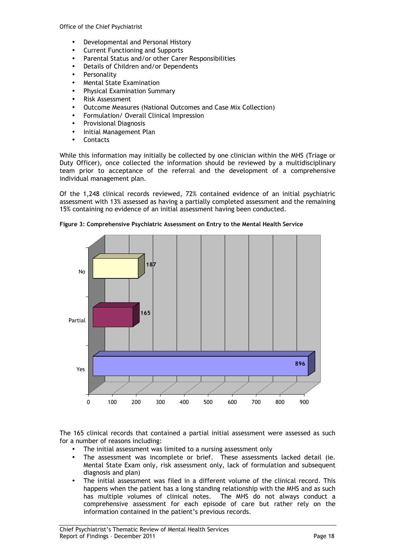- Developmental and Personal History
- Current Functioning and Supports
- Parental Status and/or other Carer Responsibilities
- Details of Children and/or Dependents
- **Personality**
- Mental State Examination
- Physical Examination Summary
- Risk Assessment
- Outcome Measures (National Outcomes and Case Mix Collection)
- Formulation/ Overall Clinical Impression
- Provisional Diagnosis
- Initial Management Plan
- **Contacts**

While this information may initially be collected by one clinician within the MHS (Triage or Duty Officer), once collected the information should be reviewed by a multidisciplinary team prior to acceptance of the referral and the development of a comprehensive individual management plan.

Of the 1,248 clinical records reviewed, 72% contained evidence of an initial psychiatric assessment with 13% assessed as having a partially completed assessment and the remaining 15% containing no evidence of an initial assessment having been conducted.



Figure 3: Comprehensive Psychiatric Assessment on Entry to the Mental Health Service

The 165 clinical records that contained a partial initial assessment were assessed as such for a number of reasons including:

- The initial assessment was limited to a nursing assessment only
- The assessment was incomplete or brief. These assessments lacked detail (ie. Mental State Exam only, risk assessment only, lack of formulation and subsequent diagnosis and plan)
- The initial assessment was filed in a different volume of the clinical record. This happens when the patient has a long standing relationship with the MHS and as such has multiple volumes of clinical notes. The MHS do not always conduct a has multiple volumes of clinical notes. comprehensive assessment for each episode of care but rather rely on the information contained in the patient's previous records.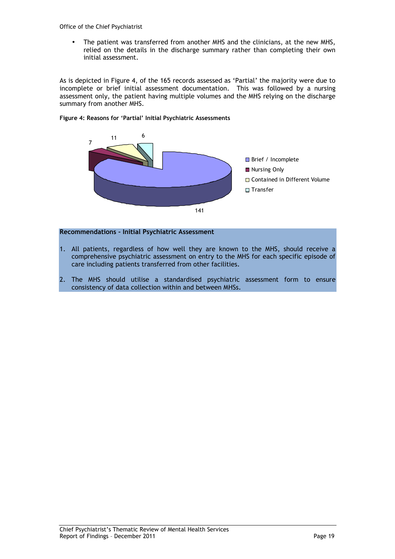Office of the Chief Psychiatrist

• The patient was transferred from another MHS and the clinicians, at the new MHS, relied on the details in the discharge summary rather than completing their own initial assessment.

As is depicted in Figure 4, of the 165 records assessed as 'Partial' the majority were due to incomplete or brief initial assessment documentation. This was followed by a nursing assessment only, the patient having multiple volumes and the MHS relying on the discharge summary from another MHS.



Figure 4: Reasons for 'Partial' Initial Psychiatric Assessments

#### Recommendations – Initial Psychiatric Assessment

- 1. All patients, regardless of how well they are known to the MHS, should receive a comprehensive psychiatric assessment on entry to the MHS for each specific episode of care including patients transferred from other facilities.
- 2. The MHS should utilise a standardised psychiatric assessment form to ensure consistency of data collection within and between MHSs.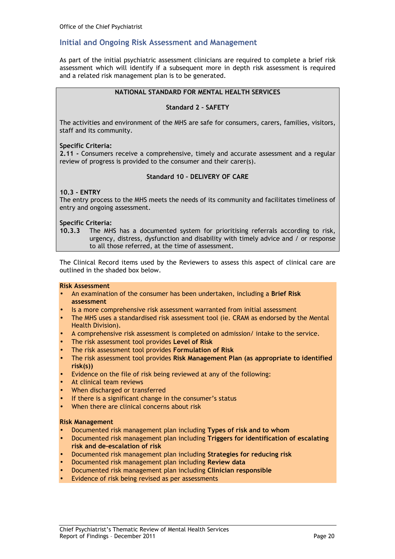#### Initial and Ongoing Risk Assessment and Management

As part of the initial psychiatric assessment clinicians are required to complete a brief risk assessment which will identify if a subsequent more in depth risk assessment is required and a related risk management plan is to be generated.

#### NATIONAL STANDARD FOR MENTAL HEALTH SERVICES

#### Standard 2 – SAFETY

The activities and environment of the MHS are safe for consumers, carers, families, visitors, staff and its community.

#### Specific Criteria:

2.11 - Consumers receive a comprehensive, timely and accurate assessment and a regular review of progress is provided to the consumer and their carer(s).

#### Standard 10 – DELIVERY OF CARE

#### 10.3 - ENTRY

The entry process to the MHS meets the needs of its community and facilitates timeliness of entry and ongoing assessment.

#### Specific Criteria:

10.3.3 The MHS has a documented system for prioritising referrals according to risk, urgency, distress, dysfunction and disability with timely advice and / or response to all those referred, at the time of assessment.

The Clinical Record items used by the Reviewers to assess this aspect of clinical care are outlined in the shaded box below.

#### Risk Assessment

- An examination of the consumer has been undertaken, including a Brief Risk assessment
- Is a more comprehensive risk assessment warranted from initial assessment
- The MHS uses a standardised risk assessment tool (ie. CRAM as endorsed by the Mental Health Division).
- A comprehensive risk assessment is completed on admission/ intake to the service.
- The risk assessment tool provides Level of Risk
- The risk assessment tool provides Formulation of Risk
- The risk assessment tool provides Risk Management Plan (as appropriate to identified risk(s))
- Evidence on the file of risk being reviewed at any of the following:
- At clinical team reviews
- When discharged or transferred
- If there is a significant change in the consumer's status
- When there are clinical concerns about risk

#### Risk Management

- Documented risk management plan including Types of risk and to whom
- Documented risk management plan including Triggers for identification of escalating risk and de-escalation of risk
- Documented risk management plan including Strategies for reducing risk
- Documented risk management plan including Review data
- Documented risk management plan including Clinician responsible
- Evidence of risk being revised as per assessments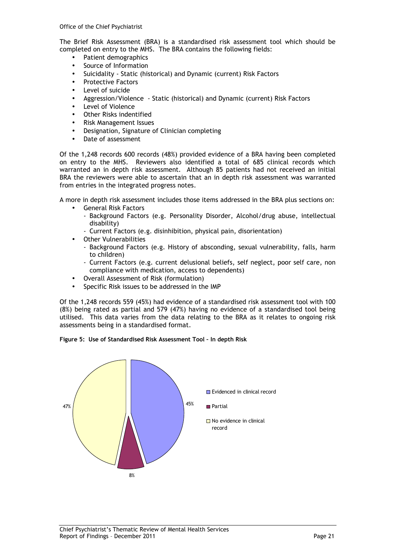The Brief Risk Assessment (BRA) is a standardised risk assessment tool which should be completed on entry to the MHS. The BRA contains the following fields:

- Patient demographics
- Source of Information
- Suicidality Static (historical) and Dynamic (current) Risk Factors
- Protective Factors
- Level of suicide
- Aggression/Violence Static (historical) and Dynamic (current) Risk Factors
- Level of Violence
- Other Risks indentified
- Risk Management Issues
- Designation, Signature of Clinician completing
- Date of assessment

Of the 1,248 records 600 records (48%) provided evidence of a BRA having been completed on entry to the MHS. Reviewers also identified a total of 685 clinical records which warranted an in depth risk assessment. Although 85 patients had not received an initial BRA the reviewers were able to ascertain that an in depth risk assessment was warranted from entries in the integrated progress notes.

A more in depth risk assessment includes those items addressed in the BRA plus sections on:

- General Risk Factors
	- Background Factors (e.g. Personality Disorder, Alcohol/drug abuse, intellectual disability)
	- Current Factors (e.g. disinhibition, physical pain, disorientation)
- Other Vulnerabilities
	- Background Factors (e.g. History of absconding, sexual vulnerability, falls, harm to children)
	- Current Factors (e.g. current delusional beliefs, self neglect, poor self care, non compliance with medication, access to dependents)
- Overall Assessment of Risk (formulation)
- Specific Risk issues to be addressed in the IMP

Of the 1,248 records 559 (45%) had evidence of a standardised risk assessment tool with 100 (8%) being rated as partial and 579 (47%) having no evidence of a standardised tool being utilised. This data varies from the data relating to the BRA as it relates to ongoing risk assessments being in a standardised format.

Figure 5: Use of Standardised Risk Assessment Tool – In depth Risk

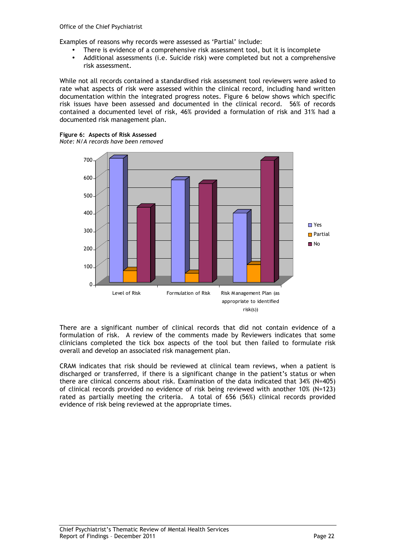Examples of reasons why records were assessed as 'Partial' include:

- There is evidence of a comprehensive risk assessment tool, but it is incomplete
- Additional assessments (i.e. Suicide risk) were completed but not a comprehensive risk assessment.

While not all records contained a standardised risk assessment tool reviewers were asked to rate what aspects of risk were assessed within the clinical record, including hand written documentation within the integrated progress notes. Figure 6 below shows which specific risk issues have been assessed and documented in the clinical record. 56% of records contained a documented level of risk, 46% provided a formulation of risk and 31% had a documented risk management plan.

#### Figure 6: Aspects of Risk Assessed

Note: N/A records have been removed



There are a significant number of clinical records that did not contain evidence of a formulation of risk. A review of the comments made by Reviewers indicates that some clinicians completed the tick box aspects of the tool but then failed to formulate risk overall and develop an associated risk management plan.

CRAM indicates that risk should be reviewed at clinical team reviews, when a patient is discharged or transferred, if there is a significant change in the patient's status or when there are clinical concerns about risk. Examination of the data indicated that 34% (N=405) of clinical records provided no evidence of risk being reviewed with another 10% (N=123) rated as partially meeting the criteria. A total of 656 (56%) clinical records provided evidence of risk being reviewed at the appropriate times.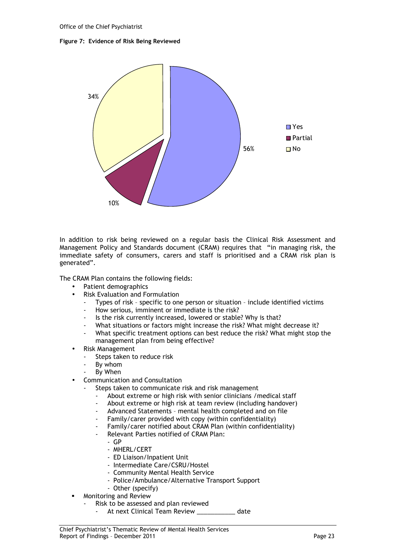#### Figure 7: Evidence of Risk Being Reviewed



In addition to risk being reviewed on a regular basis the Clinical Risk Assessment and Management Policy and Standards document (CRAM) requires that "in managing risk, the immediate safety of consumers, carers and staff is prioritised and a CRAM risk plan is generated".

The CRAM Plan contains the following fields:

- Patient demographics
- Risk Evaluation and Formulation
	- Types of risk specific to one person or situation include identified victims
	- How serious, imminent or immediate is the risk?
	- Is the risk currently increased, lowered or stable? Why is that?
	- What situations or factors might increase the risk? What might decrease it?
	- What specific treatment options can best reduce the risk? What might stop the management plan from being effective?
- Risk Management
	- Steps taken to reduce risk
	- By whom
	- By When
- Communication and Consultation
	- Steps taken to communicate risk and risk management
		- About extreme or high risk with senior clinicians / medical staff
		- About extreme or high risk at team review (including handover)
		- Advanced Statements mental health completed and on file
		- Family/carer provided with copy (within confidentiality)
		- Family/carer notified about CRAM Plan (within confidentiality)
		- Relevant Parties notified of CRAM Plan:
			- GP
			- MHERL/CERT
			- ED Liaison/Inpatient Unit
			- Intermediate Care/CSRU/Hostel
			- Community Mental Health Service
			- Police/Ambulance/Alternative Transport Support
			- Other (specify)
	- Monitoring and Review
		- Risk to be assessed and plan reviewed
			- At next Clinical Team Review \_\_\_\_\_\_\_\_\_\_ date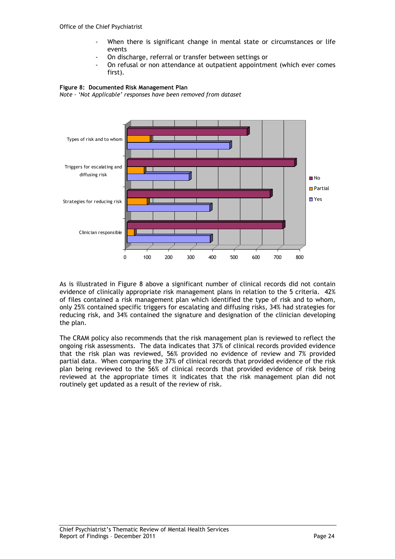- When there is significant change in mental state or circumstances or life events
- On discharge, referral or transfer between settings or
- On refusal or non attendance at outpatient appointment (which ever comes first).





As is illustrated in Figure 8 above a significant number of clinical records did not contain evidence of clinically appropriate risk management plans in relation to the 5 criteria. 42% of files contained a risk management plan which identified the type of risk and to whom, only 25% contained specific triggers for escalating and diffusing risks, 34% had strategies for reducing risk, and 34% contained the signature and designation of the clinician developing the plan.

The CRAM policy also recommends that the risk management plan is reviewed to reflect the ongoing risk assessments. The data indicates that 37% of clinical records provided evidence that the risk plan was reviewed, 56% provided no evidence of review and 7% provided partial data. When comparing the 37% of clinical records that provided evidence of the risk plan being reviewed to the 56% of clinical records that provided evidence of risk being reviewed at the appropriate times it indicates that the risk management plan did not routinely get updated as a result of the review of risk.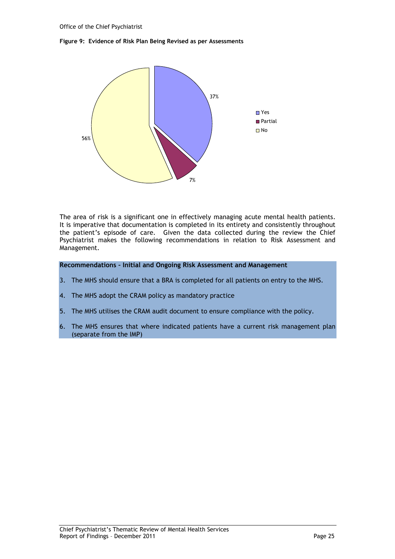#### Figure 9: Evidence of Risk Plan Being Revised as per Assessments



The area of risk is a significant one in effectively managing acute mental health patients. It is imperative that documentation is completed in its entirety and consistently throughout the patient's episode of care. Given the data collected during the review the Chief Psychiatrist makes the following recommendations in relation to Risk Assessment and Management.

#### Recommendations – Initial and Ongoing Risk Assessment and Management

- 3. The MHS should ensure that a BRA is completed for all patients on entry to the MHS.
- 4. The MHS adopt the CRAM policy as mandatory practice
- 5. The MHS utilises the CRAM audit document to ensure compliance with the policy.
- 6. The MHS ensures that where indicated patients have a current risk management plan (separate from the IMP)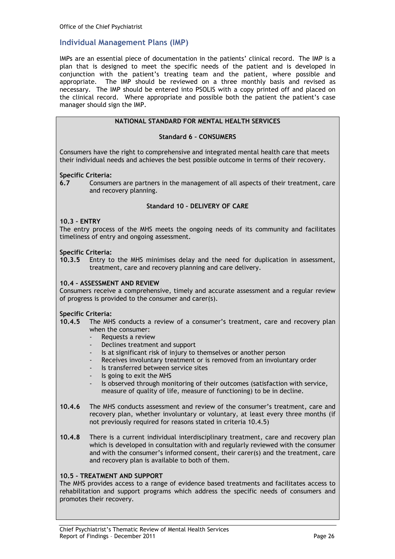#### Individual Management Plans (IMP)

IMPs are an essential piece of documentation in the patients' clinical record. The IMP is a plan that is designed to meet the specific needs of the patient and is developed in conjunction with the patient's treating team and the patient, where possible and appropriate. The IMP should be reviewed on a three monthly basis and revised as necessary. The IMP should be entered into PSOLIS with a copy printed off and placed on the clinical record. Where appropriate and possible both the patient the patient's case manager should sign the IMP.

#### NATIONAL STANDARD FOR MENTAL HEALTH SERVICES

#### Standard 6 – CONSUMERS

Consumers have the right to comprehensive and integrated mental health care that meets their individual needs and achieves the best possible outcome in terms of their recovery.

#### Specific Criteria:

6.7 Consumers are partners in the management of all aspects of their treatment, care and recovery planning.

#### Standard 10 – DELIVERY OF CARE

#### 10.3 – ENTRY

The entry process of the MHS meets the ongoing needs of its community and facilitates timeliness of entry and ongoing assessment.

#### Specific Criteria:

10.3.5 Entry to the MHS minimises delay and the need for duplication in assessment, treatment, care and recovery planning and care delivery.

#### 10.4 – ASSESSMENT AND REVIEW

Consumers receive a comprehensive, timely and accurate assessment and a regular review of progress is provided to the consumer and carer(s).

#### Specific Criteria:

- 10.4.5 The MHS conducts a review of a consumer's treatment, care and recovery plan when the consumer:
	- Requests a review
	- Declines treatment and support
	- Is at significant risk of injury to themselves or another person
	- Receives involuntary treatment or is removed from an involuntary order
	- Is transferred between service sites
	- Is going to exit the MHS
	- Is observed through monitoring of their outcomes (satisfaction with service, measure of quality of life, measure of functioning) to be in decline.
- 10.4.6 The MHS conducts assessment and review of the consumer's treatment, care and recovery plan, whether involuntary or voluntary, at least every three months (if not previously required for reasons stated in criteria 10.4.5)
- 10.4.8 There is a current individual interdisciplinary treatment, care and recovery plan which is developed in consultation with and regularly reviewed with the consumer and with the consumer's informed consent, their carer(s) and the treatment, care and recovery plan is available to both of them.

#### 10.5 – TREATMENT AND SUPPORT

The MHS provides access to a range of evidence based treatments and facilitates access to rehabilitation and support programs which address the specific needs of consumers and promotes their recovery.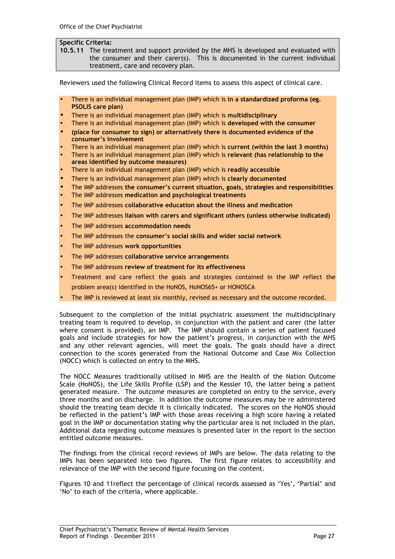#### Specific Criteria:

10.5.11 The treatment and support provided by the MHS is developed and evaluated with the consumer and their carer(s). This is documented in the current individual treatment, care and recovery plan.

Reviewers used the following Clinical Record items to assess this aspect of clinical care.

- There is an individual management plan (IMP) which is in a standardized proforma (eg. PSOLIS care plan)
- There is an individual management plan (IMP) which is multidisciplinary
- There is an individual management plan (IMP) which is developed with the consumer
- (place for consumer to sign) or alternatively there is documented evidence of the consumer's involvement
- There is an individual management plan (IMP) which is current (within the last 3 months)
- There is an individual management plan (IMP) which is relevant (has relationship to the areas identified by outcome measures)
- There is an individual management plan (IMP) which is readily accessible
- There is an individual management plan (IMP) which is clearly documented
- The IMP addresses the consumer's current situation, goals, strategies and responsibilities
- The IMP addresses medication and psychological treatments
- The IMP addresses collaborative education about the illness and medication
- The IMP addresses liaison with carers and significant others (unless otherwise indicated)
- The IMP addresses accommodation needs
- The IMP addresses the consumer's social skills and wider social network
- The IMP addresses work opportunities
- The IMP addresses collaborative service arrangements
- The IMP addresses review of treatment for its effectiveness
- Treatment and care reflect the goals and strategies contained in the IMP reflect the problem area(s) identified in the HoNOS, HoNOS65+ or HONOSCA
- The IMP is reviewed at least six monthly, revised as necessary and the outcome recorded.

Subsequent to the completion of the initial psychiatric assessment the multidisciplinary treating team is required to develop, in conjunction with the patient and carer (the latter where consent is provided), an IMP. The IMP should contain a series of patient focused goals and include strategies for how the patient's progress, in conjunction with the MHS and any other relevant agencies, will meet the goals. The goals should have a direct connection to the scores generated from the National Outcome and Case Mix Collection (NOCC) which is collected on entry to the MHS.

The NOCC Measures traditionally utilised in MHS are the Health of the Nation Outcome Scale (HoNOS), the Life Skills Profile (LSP) and the Kessler 10, the latter being a patient generated measure. The outcome measures are completed on entry to the service, every three months and on discharge. In addition the outcome measures may be re administered should the treating team decide it is clinically indicated. The scores on the HoNOS should be reflected in the patient's IMP with those areas receiving a high score having a related goal in the IMP or documentation stating why the particular area is not included in the plan. Additional data regarding outcome measures is presented later in the report in the section entitled outcome measures.

The findings from the clinical record reviews of IMPs are below. The data relating to the IMPs has been separated into two figures. The first figure relates to accessibility and relevance of the IMP with the second figure focusing on the content.

Figures 10 and 11reflect the percentage of clinical records assessed as 'Yes', 'Partial' and 'No' to each of the criteria, where applicable.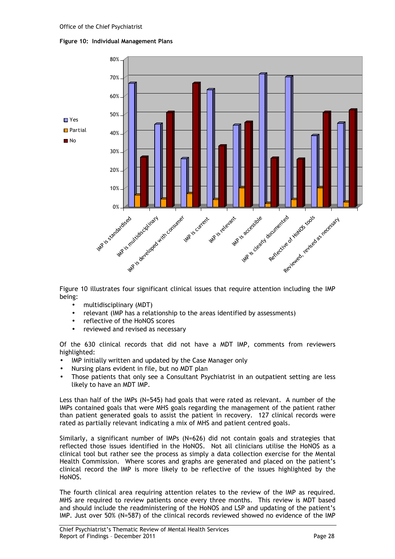#### Figure 10: Individual Management Plans



Figure 10 illustrates four significant clinical issues that require attention including the IMP being:

- multidisciplinary (MDT)
- relevant (IMP has a relationship to the areas identified by assessments)
- reflective of the HoNOS scores
- reviewed and revised as necessary

Of the 630 clinical records that did not have a MDT IMP, comments from reviewers highlighted:

- IMP initially written and updated by the Case Manager only
- Nursing plans evident in file, but no MDT plan
- Those patients that only see a Consultant Psychiatrist in an outpatient setting are less likely to have an MDT IMP.

Less than half of the IMPs (N=545) had goals that were rated as relevant. A number of the IMPs contained goals that were MHS goals regarding the management of the patient rather than patient generated goals to assist the patient in recovery. 127 clinical records were rated as partially relevant indicating a mix of MHS and patient centred goals.

Similarly, a significant number of IMPs (N=626) did not contain goals and strategies that reflected those issues identified in the HoNOS. Not all clinicians utilise the HoNOS as a clinical tool but rather see the process as simply a data collection exercise for the Mental Health Commission. Where scores and graphs are generated and placed on the patient's clinical record the IMP is more likely to be reflective of the issues highlighted by the HoNOS.

The fourth clinical area requiring attention relates to the review of the IMP as required. MHS are required to review patients once every three months. This review is MDT based and should include the readministering of the HoNOS and LSP and updating of the patient's IMP. Just over 50% (N=587) of the clinical records reviewed showed no evidence of the IMP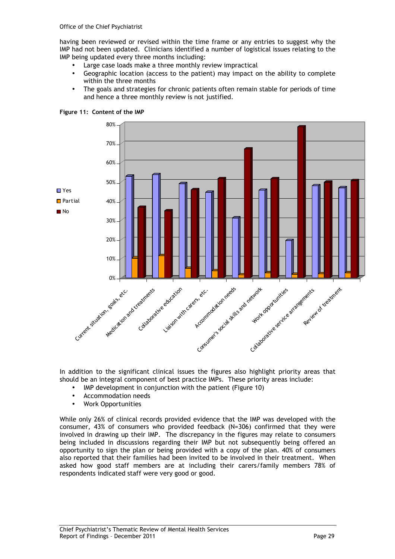having been reviewed or revised within the time frame or any entries to suggest why the IMP had not been updated. Clinicians identified a number of logistical issues relating to the IMP being updated every three months including:

- Large case loads make a three monthly review impractical
- Geographic location (access to the patient) may impact on the ability to complete within the three months
- The goals and strategies for chronic patients often remain stable for periods of time and hence a three monthly review is not justified.



Figure 11: Content of the IMP

In addition to the significant clinical issues the figures also highlight priority areas that should be an integral component of best practice IMPs. These priority areas include:

- IMP development in conjunction with the patient (Figure 10)
- Accommodation needs
- Work Opportunities

While only 26% of clinical records provided evidence that the IMP was developed with the consumer, 43% of consumers who provided feedback (N=306) confirmed that they were involved in drawing up their IMP. The discrepancy in the figures may relate to consumers being included in discussions regarding their IMP but not subsequently being offered an opportunity to sign the plan or being provided with a copy of the plan. 40% of consumers also reported that their families had been invited to be involved in their treatment. When asked how good staff members are at including their carers/family members 78% of respondents indicated staff were very good or good.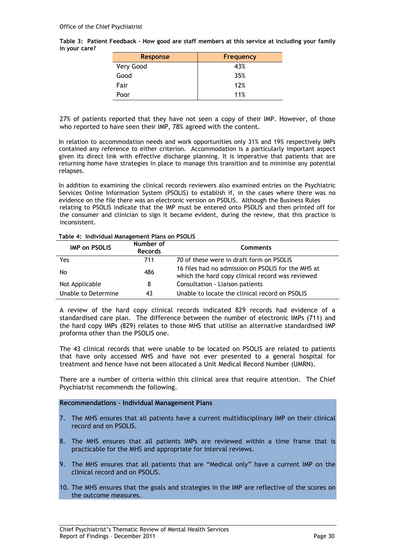|               | Table 3: Patient Feedback - How good are staff members at this service at including your family |  |  |  |
|---------------|-------------------------------------------------------------------------------------------------|--|--|--|
| in your care? |                                                                                                 |  |  |  |

| <b>Response</b> | <b>Frequency</b> |
|-----------------|------------------|
| Very Good       | 43%              |
| Good            | 35%              |
| Fair            | 12%              |
| Poor            | 11%              |

27% of patients reported that they have not seen a copy of their IMP. However, of those who reported to have seen their IMP, 78% agreed with the content.

In relation to accommodation needs and work opportunities only 31% and 19% respectively IMPs contained any reference to either criterion. Accommodation is a particularly important aspect given its direct link with effective discharge planning. It is imperative that patients that are returning home have strategies in place to manage this transition and to minimise any potential relapses.

In addition to examining the clinical records reviewers also examined entries on the Psychiatric Services Online Information System (PSOLIS) to establish if, in the cases where there was no evidence on the file there was an electronic version on PSOLIS. Although the Business Rules relating to PSOLIS indicate that the IMP must be entered onto PSOLIS and then printed off for the consumer and clinician to sign it became evident, during the review, that this practice is inconsistent.

#### Table 4: Individual Management Plans on PSOLIS

| <b>IMP on PSOLIS</b> | Number of<br><b>Records</b> | <b>Comments</b>                                                                                        |
|----------------------|-----------------------------|--------------------------------------------------------------------------------------------------------|
| Yes                  | 711                         | 70 of these were in draft form on PSOLIS                                                               |
| No                   | 486                         | 16 files had no admission on PSOLIS for the MHS at<br>which the hard copy clinical record was reviewed |
| Not Applicable       | 8                           | Consultation - Liaison patients                                                                        |
| Unable to Determine  | 43                          | Unable to locate the clinical record on PSOLIS                                                         |

A review of the hard copy clinical records indicated 829 records had evidence of a standardised care plan. The difference between the number of electronic IMPs (711) and the hard copy IMPs (829) relates to those MHS that utilise an alternative standardised IMP proforma other than the PSOLIS one.

The 43 clinical records that were unable to be located on PSOLIS are related to patients that have only accessed MHS and have not ever presented to a general hospital for treatment and hence have not been allocated a Unit Medical Record Number (UMRN).

There are a number of criteria within this clinical area that require attention. The Chief Psychiatrist recommends the following.

#### Recommendations – Individual Management Plans

- 7. The MHS ensures that all patients have a current multidisciplinary IMP on their clinical record and on PSOLIS.
- 8. The MHS ensures that all patients IMPs are reviewed within a time frame that is practicable for the MHS and appropriate for interval reviews.
- 9. The MHS ensures that all patients that are "Medical only" have a current IMP on the clinical record and on PSOLIS.
- 10. The MHS ensures that the goals and strategies in the IMP are reflective of the scores on the outcome measures.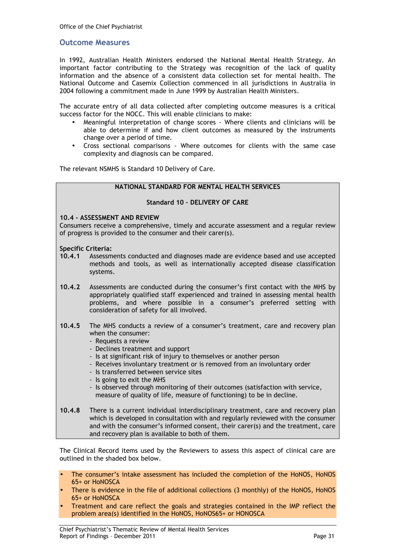#### Outcome Measures

In 1992, Australian Health Ministers endorsed the National Mental Health Strategy. An important factor contributing to the Strategy was recognition of the lack of quality information and the absence of a consistent data collection set for mental health. The National Outcome and Casemix Collection commenced in all jurisdictions in Australia in 2004 following a commitment made in June 1999 by Australian Health Ministers.

The accurate entry of all data collected after completing outcome measures is a critical success factor for the NOCC. This will enable clinicians to make:

- Meaningful interpretation of change scores Where clients and clinicians will be able to determine if and how client outcomes as measured by the instruments change over a period of time.
- Cross sectional comparisons Where outcomes for clients with the same case complexity and diagnosis can be compared.

The relevant NSMHS is Standard 10 Delivery of Care.

#### NATIONAL STANDARD FOR MENTAL HEALTH SERVICES

#### Standard 10 – DELIVERY OF CARE

#### 10.4 - ASSESSMENT AND REVIEW

Consumers receive a comprehensive, timely and accurate assessment and a regular review of progress is provided to the consumer and their carer(s).

#### Specific Criteria:

- 10.4.1 Assessments conducted and diagnoses made are evidence based and use accepted methods and tools, as well as internationally accepted disease classification systems.
- 10.4.2 Assessments are conducted during the consumer's first contact with the MHS by appropriately qualified staff experienced and trained in assessing mental health problems, and where possible in a consumer's preferred setting with consideration of safety for all involved.
- 10.4.5 The MHS conducts a review of a consumer's treatment, care and recovery plan when the consumer:
	- Requests a review
	- Declines treatment and support
	- Is at significant risk of injury to themselves or another person
	- Receives involuntary treatment or is removed from an involuntary order
	- Is transferred between service sites
	- Is going to exit the MHS
	- Is observed through monitoring of their outcomes (satisfaction with service, measure of quality of life, measure of functioning) to be in decline.
- 10.4.8 There is a current individual interdisciplinary treatment, care and recovery plan which is developed in consultation with and regularly reviewed with the consumer and with the consumer's informed consent, their carer(s) and the treatment, care and recovery plan is available to both of them.

The Clinical Record items used by the Reviewers to assess this aspect of clinical care are outlined in the shaded box below.

- The consumer's intake assessment has included the completion of the HoNOS, HoNOS 65+ or HoNOSCA
- There is evidence in the file of additional collections (3 monthly) of the HoNOS, HoNOS 65+ or HoNOSCA
- Treatment and care reflect the goals and strategies contained in the IMP reflect the problem area(s) identified in the HoNOS, HoNOS65+ or HONOSCA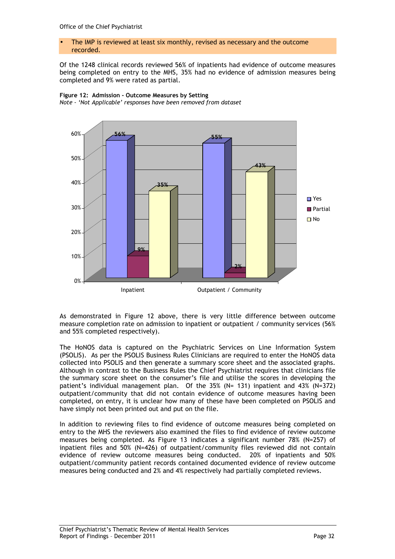#### • The IMP is reviewed at least six monthly, revised as necessary and the outcome recorded.

Of the 1248 clinical records reviewed 56% of inpatients had evidence of outcome measures being completed on entry to the MHS, 35% had no evidence of admission measures being completed and 9% were rated as partial.



Figure 12: Admission - Outcome Measures by Setting Note - 'Not Applicable' responses have been removed from dataset

As demonstrated in Figure 12 above, there is very little difference between outcome measure completion rate on admission to inpatient or outpatient / community services (56% and 55% completed respectively).

The HoNOS data is captured on the Psychiatric Services on Line Information System (PSOLIS). As per the PSOLIS Business Rules Clinicians are required to enter the HoNOS data collected into PSOLIS and then generate a summary score sheet and the associated graphs. Although in contrast to the Business Rules the Chief Psychiatrist requires that clinicians file the summary score sheet on the consumer's file and utilise the scores in developing the patient's individual management plan. Of the 35% (N= 131) inpatient and 43% (N=372) outpatient/community that did not contain evidence of outcome measures having been completed, on entry, it is unclear how many of these have been completed on PSOLIS and have simply not been printed out and put on the file.

In addition to reviewing files to find evidence of outcome measures being completed on entry to the MHS the reviewers also examined the files to find evidence of review outcome measures being completed. As Figure 13 indicates a significant number 78% (N=257) of inpatient files and 50% (N=426) of outpatient/community files reviewed did not contain evidence of review outcome measures being conducted. 20% of inpatients and 50% outpatient/community patient records contained documented evidence of review outcome measures being conducted and 2% and 4% respectively had partially completed reviews.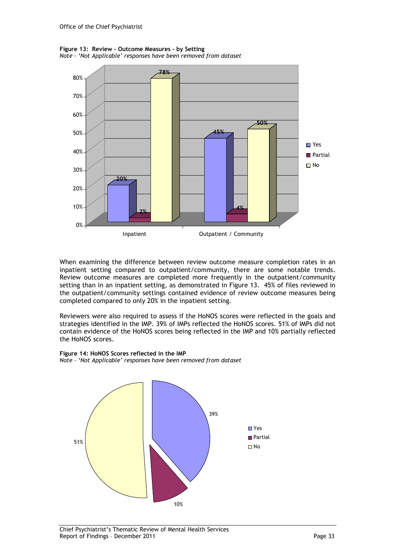Figure 13: Review - Outcome Measures - by Setting Note - 'Not Applicable' responses have been removed from dataset



When examining the difference between review outcome measure completion rates in an inpatient setting compared to outpatient/community, there are some notable trends. Review outcome measures are completed more frequently in the outpatient/community setting than in an inpatient setting, as demonstrated in Figure 13. 45% of files reviewed in the outpatient/community settings contained evidence of review outcome measures being completed compared to only 20% in the inpatient setting.

Reviewers were also required to assess if the HoNOS scores were reflected in the goals and strategies identified in the IMP. 39% of IMPs reflected the HoNOS scores. 51% of IMPs did not contain evidence of the HoNOS scores being reflected in the IMP and 10% partially reflected the HoNOS scores.



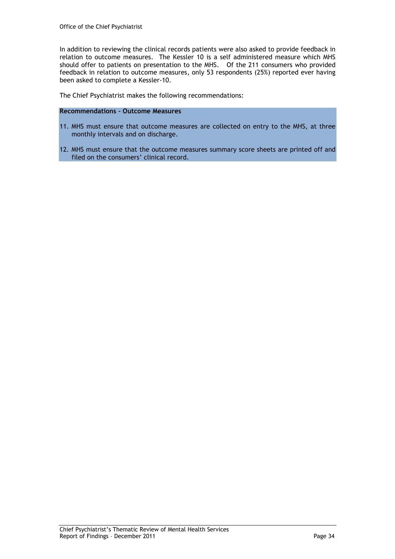In addition to reviewing the clinical records patients were also asked to provide feedback in relation to outcome measures. The Kessler 10 is a self administered measure which MHS should offer to patients on presentation to the MHS. Of the 211 consumers who provided feedback in relation to outcome measures, only 53 respondents (25%) reported ever having been asked to complete a Kessler-10.

The Chief Psychiatrist makes the following recommendations:

#### Recommendations – Outcome Measures

- 11. MHS must ensure that outcome measures are collected on entry to the MHS, at three monthly intervals and on discharge.
- 12. MHS must ensure that the outcome measures summary score sheets are printed off and filed on the consumers' clinical record.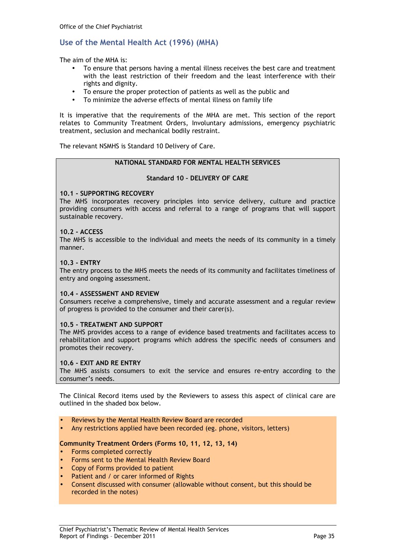#### Use of the Mental Health Act (1996) (MHA)

The aim of the MHA is:

- To ensure that persons having a mental illness receives the best care and treatment with the least restriction of their freedom and the least interference with their rights and dignity.
- To ensure the proper protection of patients as well as the public and
- To minimize the adverse effects of mental illness on family life

It is imperative that the requirements of the MHA are met. This section of the report relates to Community Treatment Orders, Involuntary admissions, emergency psychiatric treatment, seclusion and mechanical bodily restraint.

The relevant NSMHS is Standard 10 Delivery of Care.

#### NATIONAL STANDARD FOR MENTAL HEALTH SERVICES

#### Standard 10 – DELIVERY OF CARE

#### 10.1 - SUPPORTING RECOVERY

The MHS incorporates recovery principles into service delivery, culture and practice providing consumers with access and referral to a range of programs that will support sustainable recovery.

#### 10.2 - ACCESS

The MHS is accessible to the individual and meets the needs of its community in a timely manner.

#### 10.3 - ENTRY

The entry process to the MHS meets the needs of its community and facilitates timeliness of entry and ongoing assessment.

#### 10.4 - ASSESSMENT AND REVIEW

Consumers receive a comprehensive, timely and accurate assessment and a regular review of progress is provided to the consumer and their carer(s).

#### 10.5 - TREATMENT AND SUPPORT

The MHS provides access to a range of evidence based treatments and facilitates access to rehabilitation and support programs which address the specific needs of consumers and promotes their recovery.

#### 10.6 - EXIT AND RE ENTRY

The MHS assists consumers to exit the service and ensures re-entry according to the consumer's needs.

The Clinical Record items used by the Reviewers to assess this aspect of clinical care are outlined in the shaded box below.

- Reviews by the Mental Health Review Board are recorded
- Any restrictions applied have been recorded (eg. phone, visitors, letters)

#### Community Treatment Orders (Forms 10, 11, 12, 13, 14)

- Forms completed correctly
- Forms sent to the Mental Health Review Board
- Copy of Forms provided to patient
- Patient and / or carer informed of Rights
- Consent discussed with consumer (allowable without consent, but this should be recorded in the notes)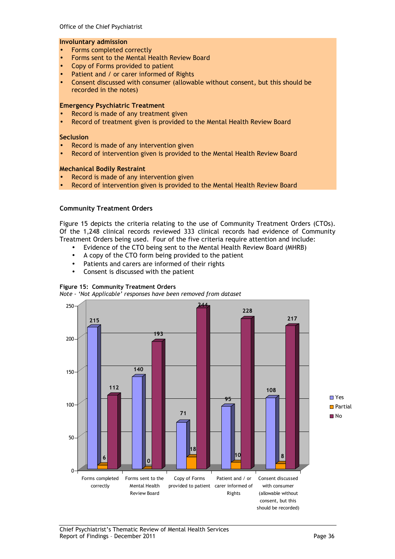#### Involuntary admission

- Forms completed correctly
- Forms sent to the Mental Health Review Board
- Copy of Forms provided to patient
- Patient and / or carer informed of Rights
- Consent discussed with consumer (allowable without consent, but this should be recorded in the notes)

#### Emergency Psychiatric Treatment

- Record is made of any treatment given
- Record of treatment given is provided to the Mental Health Review Board

#### **Seclusion**

- Record is made of any intervention given
- Record of intervention given is provided to the Mental Health Review Board

#### Mechanical Bodily Restraint

- Record is made of any intervention given
- Record of intervention given is provided to the Mental Health Review Board

#### Community Treatment Orders

Figure 15 depicts the criteria relating to the use of Community Treatment Orders (CTOs). Of the 1,248 clinical records reviewed 333 clinical records had evidence of Community Treatment Orders being used. Four of the five criteria require attention and include:

- Evidence of the CTO being sent to the Mental Health Review Board (MHRB)
- A copy of the CTO form being provided to the patient
- Patients and carers are informed of their rights
- Consent is discussed with the patient

#### Figure 15: Community Treatment Orders

Note - 'Not Applicable' responses have been removed from dataset

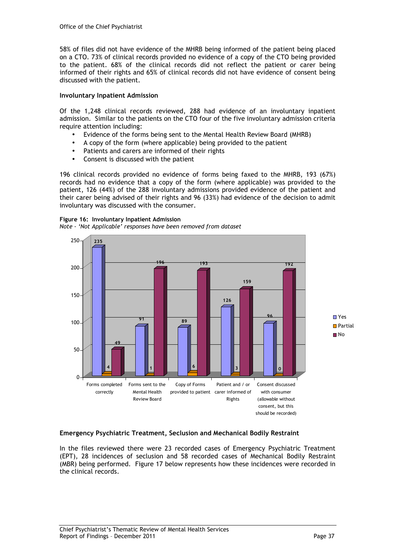58% of files did not have evidence of the MHRB being informed of the patient being placed on a CTO. 73% of clinical records provided no evidence of a copy of the CTO being provided to the patient. 68% of the clinical records did not reflect the patient or carer being informed of their rights and 65% of clinical records did not have evidence of consent being discussed with the patient.

#### Involuntary Inpatient Admission

Of the 1,248 clinical records reviewed, 288 had evidence of an involuntary inpatient admission. Similar to the patients on the CTO four of the five involuntary admission criteria require attention including:

- Evidence of the forms being sent to the Mental Health Review Board (MHRB)
- A copy of the form (where applicable) being provided to the patient
- Patients and carers are informed of their rights
- Consent is discussed with the patient

196 clinical records provided no evidence of forms being faxed to the MHRB, 193 (67%) records had no evidence that a copy of the form (where applicable) was provided to the patient, 126 (44%) of the 288 involuntary admissions provided evidence of the patient and their carer being advised of their rights and 96 (33%) had evidence of the decision to admit involuntary was discussed with the consumer.

#### Figure 16: Involuntary Inpatient Admission

Note - 'Not Applicable' responses have been removed from dataset



#### Emergency Psychiatric Treatment, Seclusion and Mechanical Bodily Restraint

In the files reviewed there were 23 recorded cases of Emergency Psychiatric Treatment (EPT), 28 incidences of seclusion and 58 recorded cases of Mechanical Bodily Restraint (MBR) being performed. Figure 17 below represents how these incidences were recorded in the clinical records.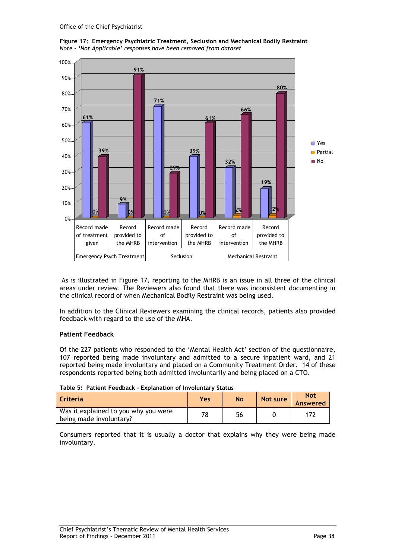

Figure 17: Emergency Psychiatric Treatment, Seclusion and Mechanical Bodily Restraint Note - 'Not Applicable' responses have been removed from dataset

 As is illustrated in Figure 17, reporting to the MHRB is an issue in all three of the clinical areas under review. The Reviewers also found that there was inconsistent documenting in the clinical record of when Mechanical Bodily Restraint was being used.

In addition to the Clinical Reviewers examining the clinical records, patients also provided feedback with regard to the use of the MHA.

#### Patient Feedback

Of the 227 patients who responded to the 'Mental Health Act' section of the questionnaire, 107 reported being made involuntary and admitted to a secure inpatient ward, and 21 reported being made involuntary and placed on a Community Treatment Order. 14 of these respondents reported being both admitted involuntarily and being placed on a CTO.

| Criteria                                                        | Yes | <b>No</b> | Not sure | <b>Not</b><br>Answered |
|-----------------------------------------------------------------|-----|-----------|----------|------------------------|
| Was it explained to you why you were<br>being made involuntary? | 78  | 56        |          |                        |

Consumers reported that it is usually a doctor that explains why they were being made involuntary.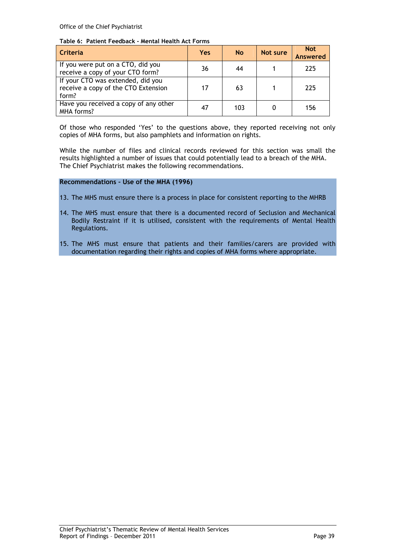Office of the Chief Psychiatrist

#### Table 6: Patient Feedback - Mental Health Act Forms

| Criteria                                                                          | <b>Yes</b> | <b>No</b> | Not sure | <b>Not</b><br><b>Answered</b> |
|-----------------------------------------------------------------------------------|------------|-----------|----------|-------------------------------|
| If you were put on a CTO, did you<br>receive a copy of your CTO form?             | 36         | 44        |          | 225                           |
| If your CTO was extended, did you<br>receive a copy of the CTO Extension<br>form? | 17         | 63        |          | 225                           |
| Have you received a copy of any other<br>MHA forms?                               | 47         | 103       |          | 156                           |

Of those who responded 'Yes' to the questions above, they reported receiving not only copies of MHA forms, but also pamphlets and information on rights.

While the number of files and clinical records reviewed for this section was small the results highlighted a number of issues that could potentially lead to a breach of the MHA. The Chief Psychiatrist makes the following recommendations.

#### Recommendations – Use of the MHA (1996)

- 13. The MHS must ensure there is a process in place for consistent reporting to the MHRB
- 14. The MHS must ensure that there is a documented record of Seclusion and Mechanical Bodily Restraint if it is utilised, consistent with the requirements of Mental Health Regulations.
- 15. The MHS must ensure that patients and their families/carers are provided with documentation regarding their rights and copies of MHA forms where appropriate.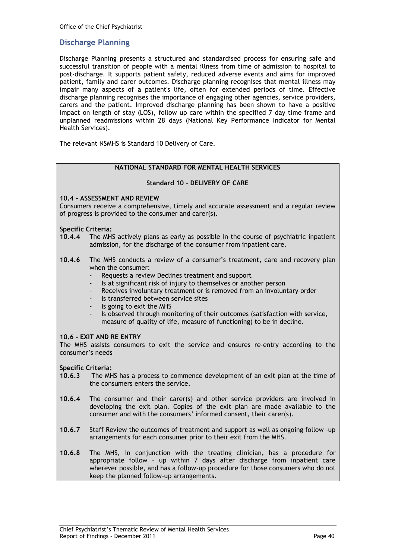#### Discharge Planning

Discharge Planning presents a structured and standardised process for ensuring safe and successful transition of people with a mental illness from time of admission to hospital to post-discharge. It supports patient safety, reduced adverse events and aims for improved patient, family and carer outcomes. Discharge planning recognises that mental illness may impair many aspects of a patient's life, often for extended periods of time. Effective discharge planning recognises the importance of engaging other agencies, service providers, carers and the patient. Improved discharge planning has been shown to have a positive impact on length of stay (LOS), follow up care within the specified 7 day time frame and unplanned readmissions within 28 days (National Key Performance Indicator for Mental Health Services).

The relevant NSMHS is Standard 10 Delivery of Care.

#### NATIONAL STANDARD FOR MENTAL HEALTH SERVICES

#### Standard 10 – DELIVERY OF CARE

#### 10.4 - ASSESSMENT AND REVIEW

Consumers receive a comprehensive, timely and accurate assessment and a regular review of progress is provided to the consumer and carer(s).

#### Specific Criteria:

- 10.4.4 The MHS actively plans as early as possible in the course of psychiatric inpatient admission, for the discharge of the consumer from inpatient care.
- 10.4.6 The MHS conducts a review of a consumer's treatment, care and recovery plan when the consumer:
	- Requests a review Declines treatment and support
	- Is at significant risk of injury to themselves or another person
	- Receives involuntary treatment or is removed from an involuntary order
	- Is transferred between service sites
	- Is going to exit the MHS
	- Is observed through monitoring of their outcomes (satisfaction with service, measure of quality of life, measure of functioning) to be in decline.

#### 10.6 - EXIT AND RE ENTRY

The MHS assists consumers to exit the service and ensures re-entry according to the consumer's needs

### Specific Criteria:<br>10.6.3 The MH

- The MHS has a process to commence development of an exit plan at the time of the consumers enters the service.
- 10.6.4 The consumer and their carer(s) and other service providers are involved in developing the exit plan. Copies of the exit plan are made available to the consumer and with the consumers' informed consent, their carer(s).
- 10.6.7 Staff Review the outcomes of treatment and support as well as ongoing follow –up arrangements for each consumer prior to their exit from the MHS.
- 10.6.8 The MHS, in conjunction with the treating clinician, has a procedure for appropriate follow – up within 7 days after discharge from inpatient care wherever possible, and has a follow-up procedure for those consumers who do not keep the planned follow-up arrangements.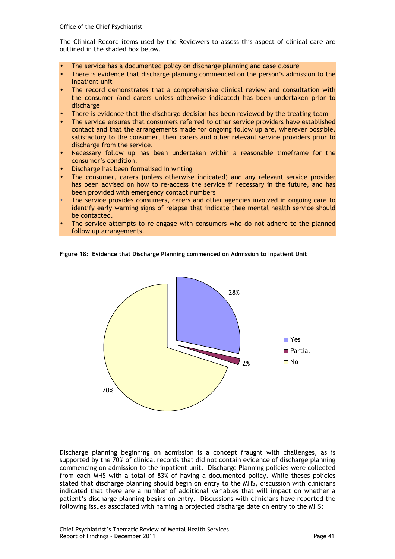The Clinical Record items used by the Reviewers to assess this aspect of clinical care are outlined in the shaded box below.

- The service has a documented policy on discharge planning and case closure
- There is evidence that discharge planning commenced on the person's admission to the inpatient unit
- The record demonstrates that a comprehensive clinical review and consultation with the consumer (and carers unless otherwise indicated) has been undertaken prior to discharge
- There is evidence that the discharge decision has been reviewed by the treating team
- The service ensures that consumers referred to other service providers have established contact and that the arrangements made for ongoing follow up are, wherever possible, satisfactory to the consumer, their carers and other relevant service providers prior to discharge from the service.
- Necessary follow up has been undertaken within a reasonable timeframe for the consumer's condition.
- Discharge has been formalised in writing
- The consumer, carers (unless otherwise indicated) and any relevant service provider has been advised on how to re-access the service if necessary in the future, and has been provided with emergency contact numbers
- The service provides consumers, carers and other agencies involved in ongoing care to identify early warning signs of relapse that indicate thee mental health service should be contacted.
- The service attempts to re-engage with consumers who do not adhere to the planned follow up arrangements.

Figure 18: Evidence that Discharge Planning commenced on Admission to Inpatient Unit



Discharge planning beginning on admission is a concept fraught with challenges, as is supported by the 70% of clinical records that did not contain evidence of discharge planning commencing on admission to the inpatient unit. Discharge Planning policies were collected from each MHS with a total of 83% of having a documented policy. While theses policies stated that discharge planning should begin on entry to the MHS, discussion with clinicians indicated that there are a number of additional variables that will impact on whether a patient's discharge planning begins on entry. Discussions with clinicians have reported the following issues associated with naming a projected discharge date on entry to the MHS: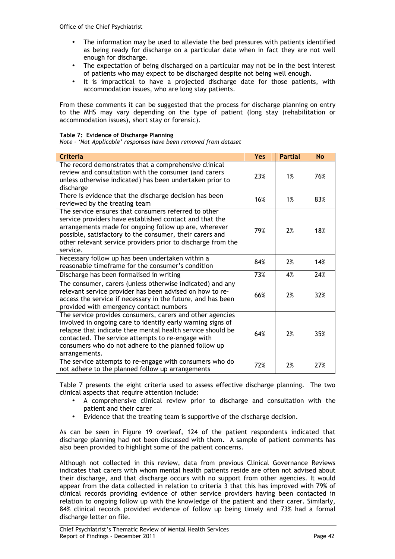- The information may be used to alleviate the bed pressures with patients identified as being ready for discharge on a particular date when in fact they are not well enough for discharge.
- The expectation of being discharged on a particular may not be in the best interest of patients who may expect to be discharged despite not being well enough.
- It is impractical to have a projected discharge date for those patients, with accommodation issues, who are long stay patients.

From these comments it can be suggested that the process for discharge planning on entry to the MHS may vary depending on the type of patient (long stay (rehabilitation or accommodation issues), short stay or forensic).

#### Table 7: Evidence of Discharge Planning

Note - 'Not Applicable' responses have been removed from dataset

| <b>Criteria</b>                                                                                                                                                                                                                                                                                                      | <b>Yes</b> | <b>Partial</b> | N <sub>O</sub> |
|----------------------------------------------------------------------------------------------------------------------------------------------------------------------------------------------------------------------------------------------------------------------------------------------------------------------|------------|----------------|----------------|
| The record demonstrates that a comprehensive clinical<br>review and consultation with the consumer (and carers<br>unless otherwise indicated) has been undertaken prior to<br>discharge                                                                                                                              | 23%        | 1%             | 76%            |
| There is evidence that the discharge decision has been<br>reviewed by the treating team                                                                                                                                                                                                                              | 16%        | 1%             | 83%            |
| The service ensures that consumers referred to other<br>service providers have established contact and that the<br>arrangements made for ongoing follow up are, wherever<br>possible, satisfactory to the consumer, their carers and<br>other relevant service providers prior to discharge from the<br>service.     | 79%        | 2%             | 18%            |
| Necessary follow up has been undertaken within a<br>reasonable timeframe for the consumer's condition                                                                                                                                                                                                                | 84%        | 2%             | 14%            |
| Discharge has been formalised in writing                                                                                                                                                                                                                                                                             | 73%        | 4%             | 24%            |
| The consumer, carers (unless otherwise indicated) and any<br>relevant service provider has been advised on how to re-<br>access the service if necessary in the future, and has been<br>provided with emergency contact numbers                                                                                      | 66%        | 2%             | 32%            |
| The service provides consumers, carers and other agencies<br>involved in ongoing care to identify early warning signs of<br>relapse that indicate thee mental health service should be<br>contacted. The service attempts to re-engage with<br>consumers who do not adhere to the planned follow up<br>arrangements. | 64%        | 2%             | 35%            |
| The service attempts to re-engage with consumers who do<br>not adhere to the planned follow up arrangements                                                                                                                                                                                                          | 72%        | 2%             | 27%            |

Table 7 presents the eight criteria used to assess effective discharge planning. The two clinical aspects that require attention include:

- A comprehensive clinical review prior to discharge and consultation with the patient and their carer
- Evidence that the treating team is supportive of the discharge decision.

As can be seen in Figure 19 overleaf, 124 of the patient respondents indicated that discharge planning had not been discussed with them. A sample of patient comments has also been provided to highlight some of the patient concerns.

Although not collected in this review, data from previous Clinical Governance Reviews indicates that carers with whom mental health patients reside are often not advised about their discharge, and that discharge occurs with no support from other agencies. It would appear from the data collected in relation to criteria 3 that this has improved with 79% of clinical records providing evidence of other service providers having been contacted in relation to ongoing follow up with the knowledge of the patient and their carer. Similarly, 84% clinical records provided evidence of follow up being timely and 73% had a formal discharge letter on file.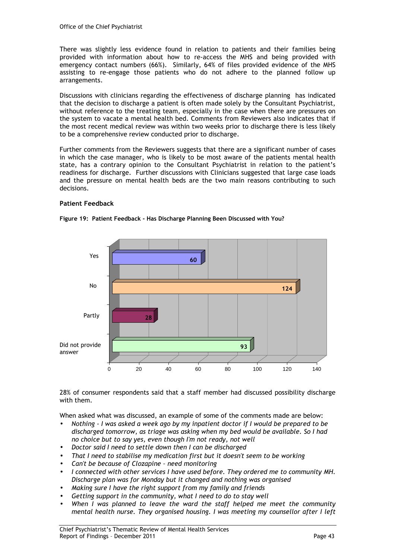There was slightly less evidence found in relation to patients and their families being provided with information about how to re-access the MHS and being provided with emergency contact numbers (66%). Similarly, 64% of files provided evidence of the MHS assisting to re-engage those patients who do not adhere to the planned follow up arrangements.

Discussions with clinicians regarding the effectiveness of discharge planning has indicated that the decision to discharge a patient is often made solely by the Consultant Psychiatrist, without reference to the treating team, especially in the case when there are pressures on the system to vacate a mental health bed. Comments from Reviewers also indicates that if the most recent medical review was within two weeks prior to discharge there is less likely to be a comprehensive review conducted prior to discharge.

Further comments from the Reviewers suggests that there are a significant number of cases in which the case manager, who is likely to be most aware of the patients mental health state, has a contrary opinion to the Consultant Psychiatrist in relation to the patient's readiness for discharge. Further discussions with Clinicians suggested that large case loads and the pressure on mental health beds are the two main reasons contributing to such decisions.

#### Patient Feedback



Figure 19: Patient Feedback - Has Discharge Planning Been Discussed with You?

28% of consumer respondents said that a staff member had discussed possibility discharge with them.

When asked what was discussed, an example of some of the comments made are below:

- Nothing I was asked a week ago by my inpatient doctor if I would be prepared to be discharged tomorrow, as triage was asking when my bed would be available. So I had no choice but to say yes, even though I'm not ready, not well
- Doctor said I need to settle down then I can be discharged
- That I need to stabilise my medication first but it doesn't seem to be working
- Can't be because of Clozapine need monitoring
- I connected with other services I have used before. They ordered me to community MH. Discharge plan was for Monday but it changed and nothing was organised
- Making sure I have the right support from my family and friends
- Getting support in the community, what I need to do to stay well
- When I was planned to leave the ward the staff helped me meet the community mental health nurse. They organised housing. I was meeting my counsellor after I left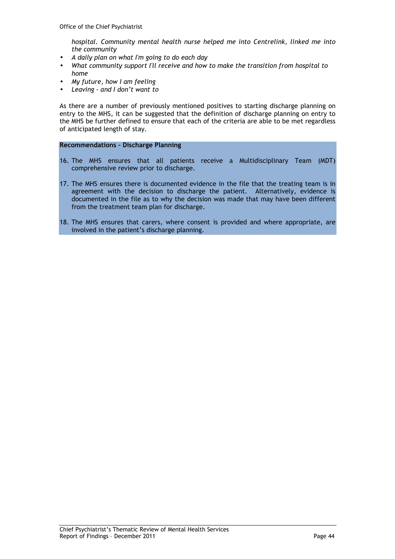hospital. Community mental health nurse helped me into Centrelink, linked me into the community

- A daily plan on what I'm going to do each day
- What community support I'll receive and how to make the transition from hospital to home
- My future, how I am feeling
- Leaving and I don't want to

As there are a number of previously mentioned positives to starting discharge planning on entry to the MHS, it can be suggested that the definition of discharge planning on entry to the MHS be further defined to ensure that each of the criteria are able to be met regardless of anticipated length of stay.

#### Recommendations – Discharge Planning

- 16. The MHS ensures that all patients receive a Multidisciplinary Team (MDT) comprehensive review prior to discharge.
- 17. The MHS ensures there is documented evidence in the file that the treating team is in agreement with the decision to discharge the patient. Alternatively, evidence is documented in the file as to why the decision was made that may have been different from the treatment team plan for discharge.
- 18. The MHS ensures that carers, where consent is provided and where appropriate, are involved in the patient's discharge planning.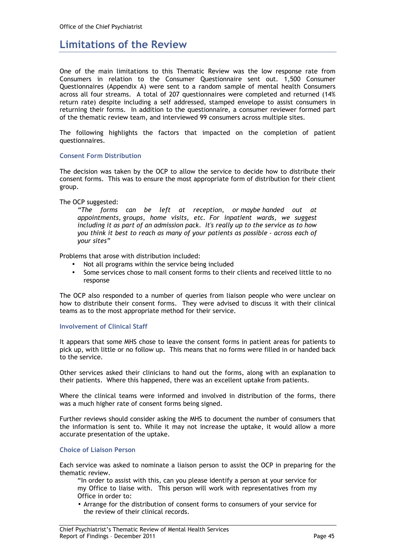### Limitations of the Review

One of the main limitations to this Thematic Review was the low response rate from Consumers in relation to the Consumer Questionnaire sent out. 1,500 Consumer Questionnaires (Appendix A) were sent to a random sample of mental health Consumers across all four streams. A total of 207 questionnaires were completed and returned (14% return rate) despite including a self addressed, stamped envelope to assist consumers in returning their forms. In addition to the questionnaire, a consumer reviewer formed part of the thematic review team, and interviewed 99 consumers across multiple sites.

The following highlights the factors that impacted on the completion of patient questionnaires.

#### Consent Form Distribution

The decision was taken by the OCP to allow the service to decide how to distribute their consent forms. This was to ensure the most appropriate form of distribution for their client group.

The OCP suggested:

"The forms can be left at reception, or maybe handed out at appointments, groups, home visits, etc. For inpatient wards, we suggest including it as part of an admission pack. It's really up to the service as to how you think it best to reach as many of your patients as possible - across each of your sites"

Problems that arose with distribution included:

- Not all programs within the service being included
- Some services chose to mail consent forms to their clients and received little to no response

The OCP also responded to a number of queries from liaison people who were unclear on how to distribute their consent forms. They were advised to discuss it with their clinical teams as to the most appropriate method for their service.

#### Involvement of Clinical Staff

It appears that some MHS chose to leave the consent forms in patient areas for patients to pick up, with little or no follow up. This means that no forms were filled in or handed back to the service.

Other services asked their clinicians to hand out the forms, along with an explanation to their patients. Where this happened, there was an excellent uptake from patients.

Where the clinical teams were informed and involved in distribution of the forms, there was a much higher rate of consent forms being signed.

Further reviews should consider asking the MHS to document the number of consumers that the information is sent to. While it may not increase the uptake, it would allow a more accurate presentation of the uptake.

#### Choice of Liaison Person

Each service was asked to nominate a liaison person to assist the OCP in preparing for the thematic review.

"In order to assist with this, can you please identify a person at your service for my Office to liaise with. This person will work with representatives from my Office in order to:

• Arrange for the distribution of consent forms to consumers of your service for the review of their clinical records.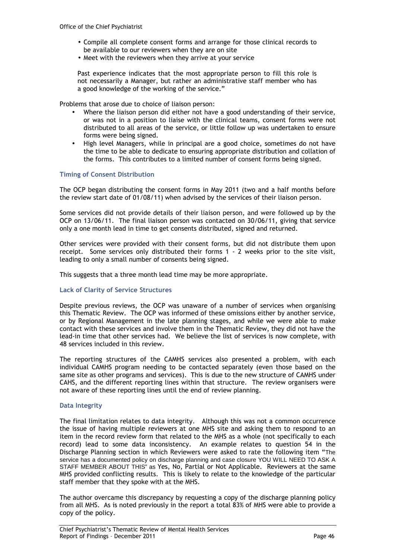- Compile all complete consent forms and arrange for those clinical records to be available to our reviewers when they are on site
- Meet with the reviewers when they arrive at your service

Past experience indicates that the most appropriate person to fill this role is not necessarily a Manager, but rather an administrative staff member who has a good knowledge of the working of the service."

Problems that arose due to choice of liaison person:

- Where the liaison person did either not have a good understanding of their service, or was not in a position to liaise with the clinical teams, consent forms were not distributed to all areas of the service, or little follow up was undertaken to ensure forms were being signed.
- High level Managers, while in principal are a good choice, sometimes do not have the time to be able to dedicate to ensuring appropriate distribution and collation of the forms. This contributes to a limited number of consent forms being signed.

#### Timing of Consent Distribution

The OCP began distributing the consent forms in May 2011 (two and a half months before the review start date of 01/08/11) when advised by the services of their liaison person.

Some services did not provide details of their liaison person, and were followed up by the OCP on 13/06/11. The final liaison person was contacted on 30/06/11, giving that service only a one month lead in time to get consents distributed, signed and returned.

Other services were provided with their consent forms, but did not distribute them upon receipt. Some services only distributed their forms 1 - 2 weeks prior to the site visit, leading to only a small number of consents being signed.

This suggests that a three month lead time may be more appropriate.

#### Lack of Clarity of Service Structures

Despite previous reviews, the OCP was unaware of a number of services when organising this Thematic Review. The OCP was informed of these omissions either by another service, or by Regional Management in the late planning stages, and while we were able to make contact with these services and involve them in the Thematic Review, they did not have the lead-in time that other services had. We believe the list of services is now complete, with 48 services included in this review.

The reporting structures of the CAMHS services also presented a problem, with each individual CAMHS program needing to be contacted separately (even those based on the same site as other programs and services). This is due to the new structure of CAMHS under CAHS, and the different reporting lines within that structure. The review organisers were not aware of these reporting lines until the end of review planning.

#### Data Integrity

The final limitation relates to data integrity. Although this was not a common occurrence the issue of having multiple reviewers at one MHS site and asking them to respond to an item in the record review form that related to the MHS as a whole (not specifically to each record) lead to some data inconsistency. An example relates to question 54 in the Discharge Planning section in which Reviewers were asked to rate the following item "The service has a documented policy on discharge planning and case closure YOU WILL NEED TO ASK A STAFF MEMBER ABOUT THIS" as Yes, No, Partial or Not Applicable. Reviewers at the same MHS provided conflicting results. This is likely to relate to the knowledge of the particular staff member that they spoke with at the MHS.

The author overcame this discrepancy by requesting a copy of the discharge planning policy from all MHS. As is noted previously in the report a total 83% of MHS were able to provide a copy of the policy.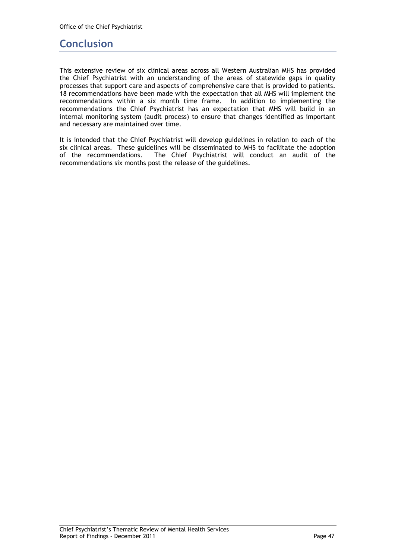### **Conclusion**

This extensive review of six clinical areas across all Western Australian MHS has provided the Chief Psychiatrist with an understanding of the areas of statewide gaps in quality processes that support care and aspects of comprehensive care that is provided to patients. 18 recommendations have been made with the expectation that all MHS will implement the recommendations within a six month time frame. In addition to implementing the recommendations the Chief Psychiatrist has an expectation that MHS will build in an internal monitoring system (audit process) to ensure that changes identified as important and necessary are maintained over time.

It is intended that the Chief Psychiatrist will develop guidelines in relation to each of the six clinical areas. These guidelines will be disseminated to MHS to facilitate the adoption of the recommendations. The Chief Psychiatrist will conduct an audit of the recommendations six months post the release of the guidelines.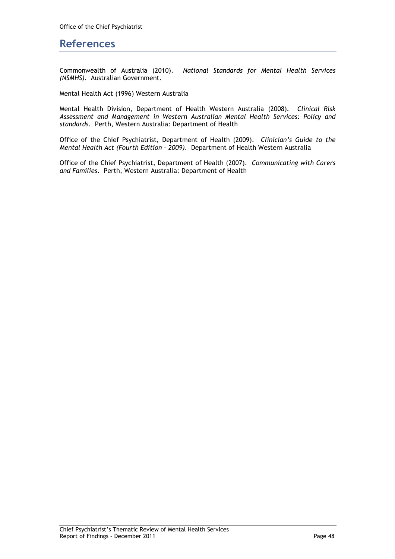### References

Commonwealth of Australia (2010). National Standards for Mental Health Services (NSMHS). Australian Government.

Mental Health Act (1996) Western Australia

Mental Health Division, Department of Health Western Australia (2008). Clinical Risk Assessment and Management in Western Australian Mental Health Services: Policy and standards. Perth, Western Australia: Department of Health

Office of the Chief Psychiatrist, Department of Health (2009). Clinician's Guide to the Mental Health Act (Fourth Edition – 2009). Department of Health Western Australia

Office of the Chief Psychiatrist, Department of Health (2007). Communicating with Carers and Families. Perth, Western Australia: Department of Health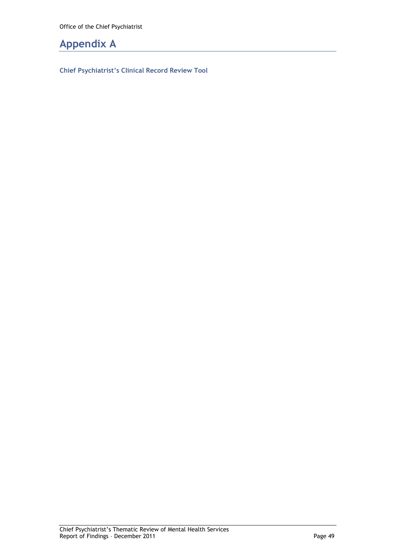### Appendix A

Chief Psychiatrist's Clinical Record Review Tool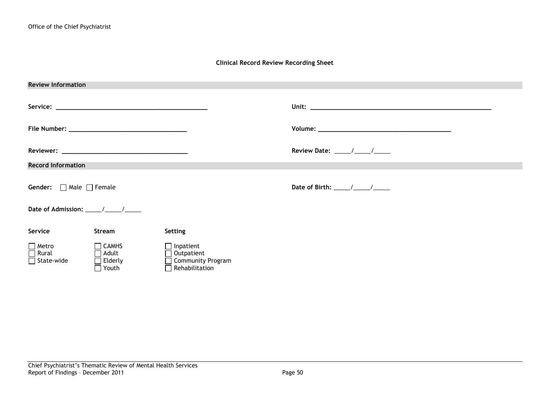#### Clinical Record Review Recording Sheet

| <b>Review Information</b>                |                                                                |                                                                                       |                                     |  |  |
|------------------------------------------|----------------------------------------------------------------|---------------------------------------------------------------------------------------|-------------------------------------|--|--|
|                                          |                                                                |                                                                                       |                                     |  |  |
|                                          |                                                                |                                                                                       |                                     |  |  |
|                                          |                                                                |                                                                                       |                                     |  |  |
| <b>Record Information</b>                |                                                                |                                                                                       |                                     |  |  |
| <b>Gender:</b> $\Box$ Male $\Box$ Female |                                                                |                                                                                       | Date of Birth: $\frac{\sqrt{2}}{2}$ |  |  |
|                                          |                                                                |                                                                                       |                                     |  |  |
|                                          |                                                                |                                                                                       |                                     |  |  |
| Service                                  | Stream                                                         | Setting                                                                               |                                     |  |  |
| $\Box$ Metro<br>□ Rural<br>□ State-wide  | $\Box$ CAMHS<br>$\Box$ Adult<br>$\Box$ Elderly<br>$\Box$ Youth | $\Box$ Inpatient<br>$\Box$ Outpatient<br>□ Community Program<br>$\Box$ Rehabilitation |                                     |  |  |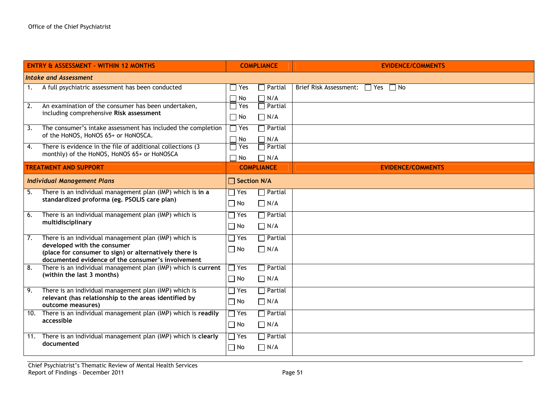| <b>ENTRY &amp; ASSESSMENT - WITHIN 12 MONTHS</b>                                                                        | <b>COMPLIANCE</b>          |                                                | <b>EVIDENCE/COMMENTS</b>                                 |
|-------------------------------------------------------------------------------------------------------------------------|----------------------------|------------------------------------------------|----------------------------------------------------------|
| Intake and Assessment                                                                                                   |                            |                                                |                                                          |
| A full psychiatric assessment has been conducted<br>$\overline{1}$ .                                                    | Yes                        | $\daleth$ Partial                              | <b>Brief Risk Assessment:</b><br>$\Box$ No<br>$\Box$ Yes |
| $\overline{2}$ .<br>An examination of the consumer has been undertaken,                                                 | $\Box$ No<br>Yes<br>$\Box$ | $\Box$ N/A<br>$\overline{\phantom{a}}$ Partial |                                                          |
| including comprehensive Risk assessment                                                                                 | $\Box$ No                  | $\Box$ N/A                                     |                                                          |
| $\overline{3}$ .<br>The consumer's intake assessment has included the completion<br>of the HoNOS, HoNOS 65+ or HoNOSCA. | $\Box$ Yes<br>$\Box$ No    | $\Box$ Partial<br>$\Box$ N/A                   |                                                          |
| There is evidence in the file of additional collections (3)<br>4.<br>monthly) of the HoNOS, HoNOS 65+ or HoNOSCA        | $\Box$ Yes<br>$\Box$ No    | $\overline{\phantom{a}}$ Partial<br>$\Box$ N/A |                                                          |
| <b>TREATMENT AND SUPPORT</b>                                                                                            | <b>COMPLIANCE</b>          |                                                | <b>EVIDENCE/COMMENTS</b>                                 |
| <b>Individual Management Plans</b>                                                                                      | $\Box$ Section N/A         |                                                |                                                          |
| There is an individual management plan (IMP) which is in a<br>5.                                                        | $\Box$ Yes                 | $\sqcap$ Partial                               |                                                          |
| standardized proforma (eg. PSOLIS care plan)                                                                            | $\Box$ No                  | $\prod N/A$                                    |                                                          |
| 6.<br>There is an individual management plan (IMP) which is                                                             | $\Box$ Yes                 | $\Box$ Partial                                 |                                                          |
| multidisciplinary                                                                                                       | $\Box$ No                  | $\Box$ N/A                                     |                                                          |
| $\overline{7}$ .<br>There is an individual management plan (IMP) which is<br>developed with the consumer                | $\Box$ Yes                 | $\Box$ Partial                                 |                                                          |
| (place for consumer to sign) or alternatively there is<br>documented evidence of the consumer's involvement             | $\Box$ No                  | $\prod N/A$                                    |                                                          |
| There is an individual management plan (IMP) which is current<br>8.                                                     | $\Box$ Yes                 | $\overline{\mathsf{a}}$ Partial                |                                                          |
| (within the last 3 months)                                                                                              | $\Box$ No                  | $\prod N/A$                                    |                                                          |
| There is an individual management plan (IMP) which is<br>9.                                                             | $\Box$ Yes                 | $\Box$ Partial                                 |                                                          |
| relevant (has relationship to the areas identified by<br>outcome measures)                                              | $\Box$ No                  | $\Box$ N/A                                     |                                                          |
| There is an individual management plan (IMP) which is readily<br>10.                                                    | $\Box$ Yes                 | $\Box$ Partial                                 |                                                          |
| accessible                                                                                                              | $\Box$ No                  | $\Box$ N/A                                     |                                                          |
| 11. There is an individual management plan (IMP) which is clearly                                                       | $\Box$ Yes                 | $\Box$ Partial                                 |                                                          |
| documented                                                                                                              | $\Box$ No                  | $\Box$ N/A                                     |                                                          |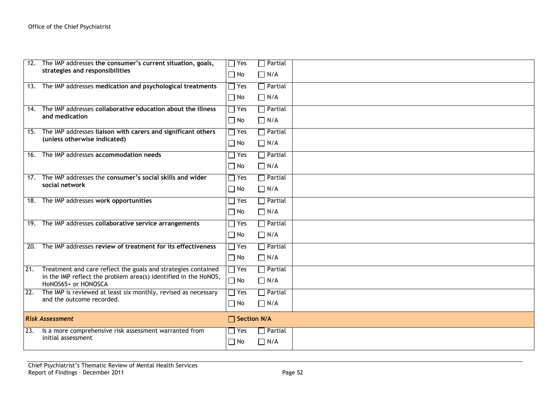| 12. | The IMP addresses the consumer's current situation, goals,<br>strategies and responsibilities                                                           | $\Box$ Yes<br>$\Box$ No                   | $\Box$ Partial<br>$\Box$ N/A                   |  |
|-----|---------------------------------------------------------------------------------------------------------------------------------------------------------|-------------------------------------------|------------------------------------------------|--|
|     | 13. The IMP addresses medication and psychological treatments                                                                                           | $\sqsupset$ Yes<br>$\Box$ No              | $\Box$ Partial<br>$\Box$ N/A                   |  |
| 14. | The IMP addresses collaborative education about the illness<br>and medication                                                                           | $\sqsupset$ Yes<br>$\Box$ No              | $\Box$ Partial<br>$\Box$ N/A                   |  |
|     | 15. The IMP addresses liaison with carers and significant others<br>(unless otherwise indicated)                                                        | $\Box$ Yes<br>$\Box$ No                   | $\Box$ Partial<br>$\Box$ N/A                   |  |
|     | 16. The IMP addresses accommodation needs                                                                                                               | $\sqsupset$ Yes<br>$\Box$ No              | $\sqcap$ Partial<br>$\Box$ N/A                 |  |
|     | 17. The IMP addresses the consumer's social skills and wider<br>social network                                                                          | $\sqsupset$ Yes<br>$\Box$ No              | $\Box$ Partial<br>$\Box$ N/A                   |  |
|     | 18. The IMP addresses work opportunities                                                                                                                | $\sqsupset$ Yes<br>$\Box$ No              | $\Box$ Partial<br>$\Box$ N/A                   |  |
|     | 19. The IMP addresses collaborative service arrangements                                                                                                | $\exists$ Yes<br>$\Box$ No                | $\Box$ Partial<br>$\Box$ N/A                   |  |
| 20. | The IMP addresses review of treatment for its effectiveness                                                                                             | $\exists$ Yes<br>$\Box$ No                | $\overline{\phantom{a}}$ Partial<br>$\Box$ N/A |  |
| 21. | Treatment and care reflect the goals and strategies contained<br>in the IMP reflect the problem area(s) identified in the HoNOS,<br>HoNOS65+ or HONOSCA | $\sqsupset$ Yes<br>$\Box$ No              | $\Box$ Partial<br>$\Box$ N/A                   |  |
| 22. | The IMP is reviewed at least six monthly, revised as necessary<br>and the outcome recorded.                                                             | $\overline{\phantom{a}}$ Yes<br>$\Box$ No | $\Box$ Partial<br>$\Box$ N/A                   |  |
|     | <b>Risk Assessment</b>                                                                                                                                  | $\Box$ Section N/A                        |                                                |  |
| 23. | Is a more comprehensive risk assessment warranted from<br>initial assessment                                                                            | $\sqsupset$ Yes<br>$\Box$ No              | $\sqcap$ Partial<br>$\Box$ N/A                 |  |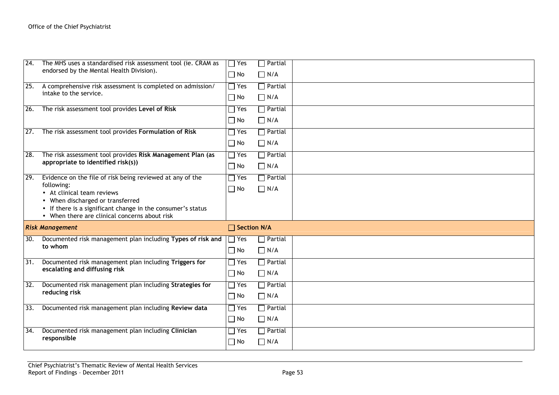| 24. | The MHS uses a standardised risk assessment tool (ie. CRAM as<br>endorsed by the Mental Health Division).                                                                                                                                                 | $\Box$ Yes<br>$\Box$ No    | $\sqcap$ Partial<br>$\prod N/A$                |  |
|-----|-----------------------------------------------------------------------------------------------------------------------------------------------------------------------------------------------------------------------------------------------------------|----------------------------|------------------------------------------------|--|
| 25. | A comprehensive risk assessment is completed on admission/<br>intake to the service.                                                                                                                                                                      | $\Box$ Yes<br>$\Box$ No    | $\Box$ Partial<br>$\Box$ N/A                   |  |
| 26. | The risk assessment tool provides Level of Risk                                                                                                                                                                                                           | $\Box$ Yes<br>$\Box$ No    | $\Box$ Partial<br>$\Box$ N/A                   |  |
| 27. | The risk assessment tool provides Formulation of Risk                                                                                                                                                                                                     | $\Box$ Yes<br>$\Box$ No    | $\sqcap$ Partial<br>$\Box$ N/A                 |  |
| 28. | The risk assessment tool provides Risk Management Plan (as<br>appropriate to identified risk(s))                                                                                                                                                          | $\Box$ Yes<br>$\Box$ No    | $\overline{\phantom{a}}$ Partial<br>$\Box$ N/A |  |
| 29. | Evidence on the file of risk being reviewed at any of the<br>following:<br>• At clinical team reviews<br>• When discharged or transferred<br>• If there is a significant change in the consumer's status<br>• When there are clinical concerns about risk | $\Box$ Yes<br>$\square$ No | $\Box$ Partial<br>$\Box$ N/A                   |  |
|     | <b>Risk Management</b>                                                                                                                                                                                                                                    | $\Box$ Section N/A         |                                                |  |
| 30. | Documented risk management plan including Types of risk and<br>to whom                                                                                                                                                                                    | $\Box$ Yes<br>$\Box$ No    | $\sqcap$ Partial<br>$\Box$ N/A                 |  |
| 31. | Documented risk management plan including Triggers for<br>escalating and diffusing risk                                                                                                                                                                   | $\Box$ Yes<br>$\Box$ No    | $\Box$ Partial<br>$\Box$ N/A                   |  |
| 32. | Documented risk management plan including Strategies for<br>reducing risk                                                                                                                                                                                 | $\Box$ Yes<br>$\Box$ No    | $\Box$ Partial<br>$\Box$ N/A                   |  |
| 33. | Documented risk management plan including Review data                                                                                                                                                                                                     | $\Box$ Yes<br>$\Box$ No    | $\Box$ Partial<br>$\Box$ N/A                   |  |
| 34. | Documented risk management plan including Clinician<br>responsible                                                                                                                                                                                        | $\Box$ Yes<br>$\Box$ No    | $\Box$ Partial<br>$\Box$ N/A                   |  |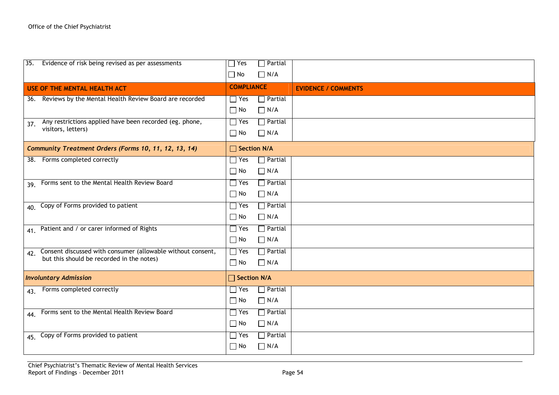| 35. Evidence of risk being revised as per assessments           | $\Box$ Partial<br>$\Box$ Yes                   |                            |
|-----------------------------------------------------------------|------------------------------------------------|----------------------------|
|                                                                 | $\Box$ N/A<br>$\Box$ No                        |                            |
| USE OF THE MENTAL HEALTH ACT                                    | <b>COMPLIANCE</b>                              | <b>EVIDENCE / COMMENTS</b> |
| 36. Reviews by the Mental Health Review Board are recorded      | $\Box$ Yes<br>$\Box$ Partial                   |                            |
|                                                                 | $\Box$ N/A<br>$\Box$ No                        |                            |
| Any restrictions applied have been recorded (eg. phone,<br>37.  | $\Box$ Yes<br>$\Box$ Partial                   |                            |
| visitors, letters)                                              | $\Box$ No<br>$\Box$ N/A                        |                            |
| Community Treatment Orders (Forms 10, 11, 12, 13, 14)           | $\Box$ Section N/A                             |                            |
| 38. Forms completed correctly                                   | $\Box$ Yes<br>$\Box$ Partial                   |                            |
|                                                                 | $\Box$ No<br>$\Box$ N/A                        |                            |
| 39. Forms sent to the Mental Health Review Board                | $\Box$ Yes<br>$\Box$ Partial                   |                            |
|                                                                 | $\Box$ No<br>$\Box$ N/A                        |                            |
| 40. Copy of Forms provided to patient                           | $\Box$ Yes<br>$\Box$ Partial                   |                            |
|                                                                 | $\Box$ No<br>$\Box$ N/A                        |                            |
| 41. Patient and / or carer informed of Rights                   | $\Box$ Yes<br>$\Box$ Partial                   |                            |
|                                                                 | $\Box$ No<br>$\Box$ N/A                        |                            |
| 42. Consent discussed with consumer (allowable without consent, | $\Box$ Yes<br>$\Box$ Partial                   |                            |
| but this should be recorded in the notes)                       | $\Box$ N/A<br>$\Box$ No                        |                            |
| <b>Involuntary Admission</b>                                    | $\Box$ Section N/A                             |                            |
| 43. Forms completed correctly                                   | $\Box$ Yes<br>$\Box$ Partial                   |                            |
|                                                                 | $\Box$ No<br>$\Box$ N/A                        |                            |
| 44. Forms sent to the Mental Health Review Board                | $\Box$ Partial<br>$\Box$ Yes                   |                            |
|                                                                 | $\Box$ N/A<br>$\Box$ No                        |                            |
| 45. Copy of Forms provided to patient                           | $\Box$ Yes<br>$\overline{\phantom{a}}$ Partial |                            |
|                                                                 | $\Box$ No<br>$\Box$ N/A                        |                            |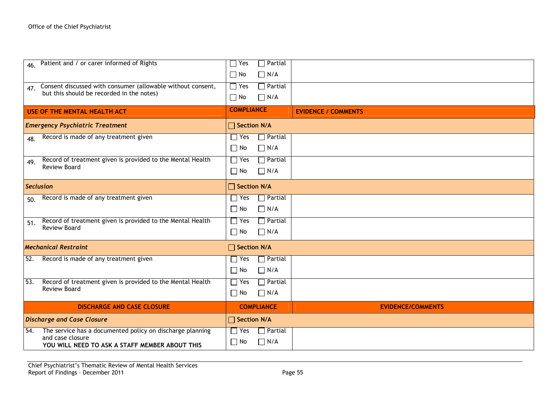| 46. Patient and / or carer informed of Rights                                                                                          | $\sqcap$ Partial<br>Yes<br>$\prod N/A$<br>$\Box$ No                       |                            |
|----------------------------------------------------------------------------------------------------------------------------------------|---------------------------------------------------------------------------|----------------------------|
| Consent discussed with consumer (allowable without consent,<br>47.<br>but this should be recorded in the notes)                        | $\Box$ Yes<br>$\Box$ Partial<br>$\Box$ No<br>$\Box$ N/A                   |                            |
| USE OF THE MENTAL HEALTH ACT                                                                                                           | <b>COMPLIANCE</b>                                                         | <b>EVIDENCE / COMMENTS</b> |
| <b>Emergency Psychiatric Treatment</b>                                                                                                 | □ Section N/A                                                             |                            |
| Record is made of any treatment given<br>48.                                                                                           | $\Box$ Yes<br>$\sqrt{\frac{1}{1}}$ Partial<br>$\Box$ N/A<br>$\Box$ No     |                            |
| Record of treatment given is provided to the Mental Health<br>49.<br><b>Review Board</b>                                               | $\Box$ Partial<br>$\Box$ Yes<br>$\Box$ N/A<br>$\Box$ No                   |                            |
| <b>Seclusion</b>                                                                                                                       | $\Box$ Section N/A                                                        |                            |
| Record is made of any treatment given<br>50.                                                                                           | $\overline{\phantom{a}}$ Partial<br>$\Box$ Yes<br>$\Box$ N/A<br>$\Box$ No |                            |
| Record of treatment given is provided to the Mental Health<br>51.<br><b>Review Board</b>                                               | $\Box$ Yes<br>$\Box$ Partial<br>$\Box$ N/A<br>$\Box$ No                   |                            |
| <b>Mechanical Restraint</b>                                                                                                            | □ Section N/A                                                             |                            |
| Record is made of any treatment given<br>52.                                                                                           | $\sqcap$ Partial<br>$\Box$ Yes<br>$\Box$ N/A<br>$\Box$ No                 |                            |
| Record of treatment given is provided to the Mental Health<br>53.<br><b>Review Board</b>                                               | $\Box$ Partial<br>$\Box$ Yes<br>$\Box$ N/A<br>$\Box$ No                   |                            |
| <b>DISCHARGE AND CASE CLOSURE</b>                                                                                                      | <b>COMPLIANCE</b>                                                         | <b>EVIDENCE/COMMENTS</b>   |
| <b>Discharge and Case Closure</b>                                                                                                      | □ Section N/A                                                             |                            |
| The service has a documented policy on discharge planning<br>54.<br>and case closure<br>YOU WILL NEED TO ASK A STAFF MEMBER ABOUT THIS | $\Box$ Partial<br>$\Box$ Yes<br>$\Box$ N/A<br>$\Box$ No                   |                            |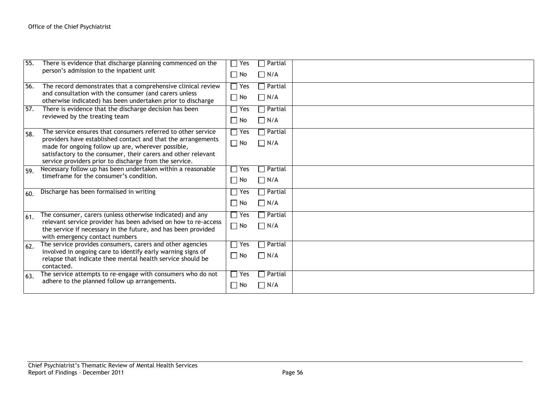| 55. | There is evidence that discharge planning commenced on the<br>person's admission to the inpatient unit                          | Yes<br>$\Box$ No           | $\sqcap$ Partial<br>$\Box$ N/A |  |
|-----|---------------------------------------------------------------------------------------------------------------------------------|----------------------------|--------------------------------|--|
| 56. | The record demonstrates that a comprehensive clinical review                                                                    | $\sqsupset$ Yes            | $\sqsupset$ Partial            |  |
|     | and consultation with the consumer (and carers unless<br>otherwise indicated) has been undertaken prior to discharge            | $\Box$ No                  | $\Box$ N/A                     |  |
| 57. | There is evidence that the discharge decision has been                                                                          | $\Box$ Yes                 | $\Box$ Partial                 |  |
|     | reviewed by the treating team                                                                                                   | $\Box$ No                  | $\Box$ N/A                     |  |
| 58. | The service ensures that consumers referred to other service                                                                    | $\sqsupset$ Yes            | $\Box$ Partial                 |  |
|     | providers have established contact and that the arrangements<br>made for ongoing follow up are, wherever possible,              | $\Box$ No                  | $\Box$ N/A                     |  |
|     | satisfactory to the consumer, their carers and other relevant                                                                   |                            |                                |  |
|     | service providers prior to discharge from the service.                                                                          |                            |                                |  |
| 59. | Necessary follow up has been undertaken within a reasonable<br>timeframe for the consumer's condition.                          | Yes                        | $\Box$ Partial                 |  |
|     |                                                                                                                                 | $\Box$ No                  | $\Box$ N/A                     |  |
| 60. | Discharge has been formalised in writing                                                                                        | Yes                        | $\Box$ Partial                 |  |
|     |                                                                                                                                 | $\Box$ No                  | $\Box$ N/A                     |  |
| 61. | The consumer, carers (unless otherwise indicated) and any                                                                       | $\Box$ Yes                 | $\Box$ Partial                 |  |
|     | relevant service provider has been advised on how to re-access<br>the service if necessary in the future, and has been provided | $\Box$ No                  | $\Box$ N/A                     |  |
|     | with emergency contact numbers                                                                                                  |                            |                                |  |
| 62. | The service provides consumers, carers and other agencies                                                                       | $\overline{\mathsf{Y}}$ es | $\Box$ Partial                 |  |
|     | involved in ongoing care to identify early warning signs of<br>relapse that indicate thee mental health service should be       | $\Box$ No                  | $\Box$ N/A                     |  |
|     | contacted.                                                                                                                      | $\Box$ Yes                 |                                |  |
| 63. | The service attempts to re-engage with consumers who do not<br>adhere to the planned follow up arrangements.                    |                            | $\Box$ Partial                 |  |
|     |                                                                                                                                 | $\Box$ No                  | $\neg N/A$                     |  |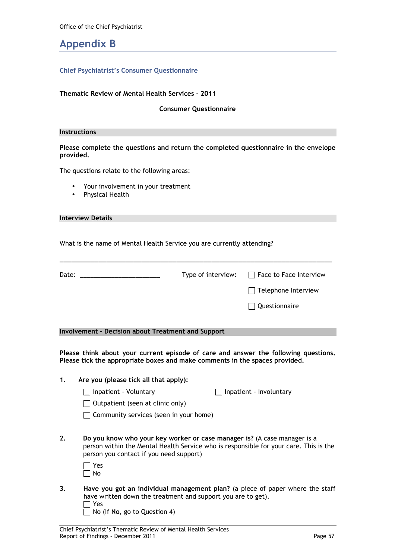### Appendix B

#### Chief Psychiatrist's Consumer Questionnaire

#### Thematic Review of Mental Health Services - 2011

Consumer Questionnaire

Please complete the questions and return the completed questionnaire in the envelope provided.

The questions relate to the following areas:

- Your involvement in your treatment
- Physical Health

| Interview Details |  |
|-------------------|--|
|-------------------|--|

What is the name of Mental Health Service you are currently attending?

| Date: |                                                                                                                                                                    | Type of interview: | Face to Face Interview                                                                |
|-------|--------------------------------------------------------------------------------------------------------------------------------------------------------------------|--------------------|---------------------------------------------------------------------------------------|
|       |                                                                                                                                                                    |                    | Telephone Interview                                                                   |
|       |                                                                                                                                                                    |                    | Questionnaire                                                                         |
|       | <b>Involvement - Decision about Treatment and Support</b>                                                                                                          |                    |                                                                                       |
|       | Please think about your current episode of care and answer the following questions.<br>Please tick the appropriate boxes and make comments in the spaces provided. |                    |                                                                                       |
| 1.    | Are you (please tick all that apply):                                                                                                                              |                    |                                                                                       |
|       | $\Box$ Inpatient - Voluntary                                                                                                                                       |                    | Inpatient - Involuntary                                                               |
|       | Outpatient (seen at clinic only)                                                                                                                                   |                    |                                                                                       |
|       | $\Box$ Community services (seen in your home)                                                                                                                      |                    |                                                                                       |
| 2.    | Do you know who your key worker or case manager is? (A case manager is a<br>person you contact if you need support)                                                |                    | person within the Mental Health Service who is responsible for your care. This is the |
|       | Yes<br>No                                                                                                                                                          |                    |                                                                                       |
| 3.    | have written down the treatment and support you are to get).<br>Yes<br>No (If No, go to Question 4)                                                                |                    | Have you got an individual management plan? (a piece of paper where the staff         |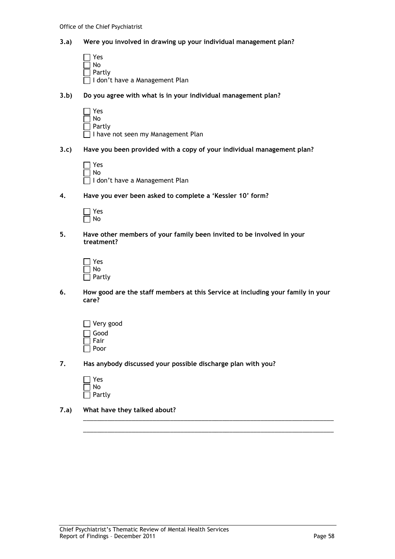#### 3.a) Were you involved in drawing up your individual management plan?

- $\Box$  Yes No Partly I don't have a Management Plan
- 3.b) Do you agree with what is in your individual management plan?
	- Yes ا No Partly I have not seen my Management Plan
- 3.c) Have you been provided with a copy of your individual management plan?

| $\Box$ Yes |                                  |
|------------|----------------------------------|
| $\Box$ No  |                                  |
|            | □ I don't have a Management Plan |

4. Have you ever been asked to complete a 'Kessler 10' form?

| c      |
|--------|
| ר<br>J |

5. Have other members of your family been invited to be involved in your treatment?

| Yes    |
|--------|
| l No   |
| Partly |

6. How good are the staff members at this Service at including your family in your care?

\_\_\_\_\_\_\_\_\_\_\_\_\_\_\_\_\_\_\_\_\_\_\_\_\_\_\_\_\_\_\_\_\_\_\_\_\_\_\_\_\_\_\_\_\_\_\_\_\_\_\_\_\_\_\_\_\_\_\_\_\_\_\_\_\_\_\_\_\_\_\_\_ \_\_\_\_\_\_\_\_\_\_\_\_\_\_\_\_\_\_\_\_\_\_\_\_\_\_\_\_\_\_\_\_\_\_\_\_\_\_\_\_\_\_\_\_\_\_\_\_\_\_\_\_\_\_\_\_\_\_\_\_\_\_\_\_\_\_\_\_\_\_\_\_

- Very good Good Fair Poor
- 7. Has anybody discussed your possible discharge plan with you?

| Yes    |
|--------|
| l I No |
| Partly |

7.a) What have they talked about?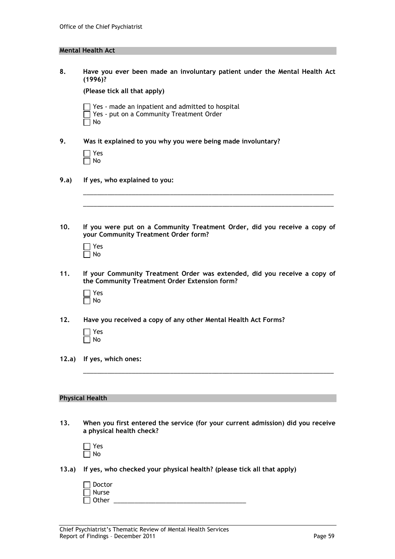### Mental Health Act

| 8.    | Have you ever been made an involuntary patient under the Mental Health Act<br>(1996)?                                      |  |  |
|-------|----------------------------------------------------------------------------------------------------------------------------|--|--|
|       | (Please tick all that apply)                                                                                               |  |  |
|       | Yes - made an inpatient and admitted to hospital<br>Yes - put on a Community Treatment Order<br>No                         |  |  |
| 9.    | Was it explained to you why you were being made involuntary?                                                               |  |  |
|       | Yes<br>No                                                                                                                  |  |  |
| 9.a)  | If yes, who explained to you:                                                                                              |  |  |
|       |                                                                                                                            |  |  |
|       |                                                                                                                            |  |  |
| 10.   | If you were put on a Community Treatment Order, did you receive a copy of<br>your Community Treatment Order form?          |  |  |
|       | Yes<br>No                                                                                                                  |  |  |
| 11.   | If your Community Treatment Order was extended, did you receive a copy of<br>the Community Treatment Order Extension form? |  |  |
|       | Yes<br>No                                                                                                                  |  |  |
| 12.   | Have you received a copy of any other Mental Health Act Forms?                                                             |  |  |
|       | Yes<br>No                                                                                                                  |  |  |
| 12.a) | If yes, which ones:                                                                                                        |  |  |
|       |                                                                                                                            |  |  |
|       | <b>Physical Health</b>                                                                                                     |  |  |
|       |                                                                                                                            |  |  |
| 13.   | When you first entered the service (for your current admission) did you receive<br>a physical health check?                |  |  |
|       | Yes<br>No                                                                                                                  |  |  |
| 13.a) | If yes, who checked your physical health? (please tick all that apply)                                                     |  |  |
|       | Doctor<br>Nurse<br>Other                                                                                                   |  |  |